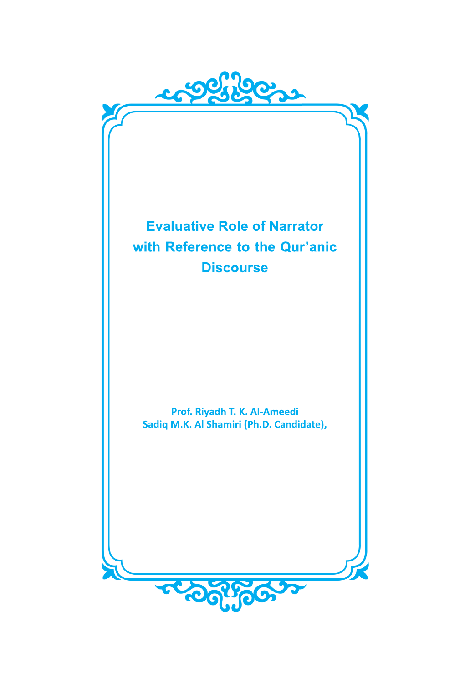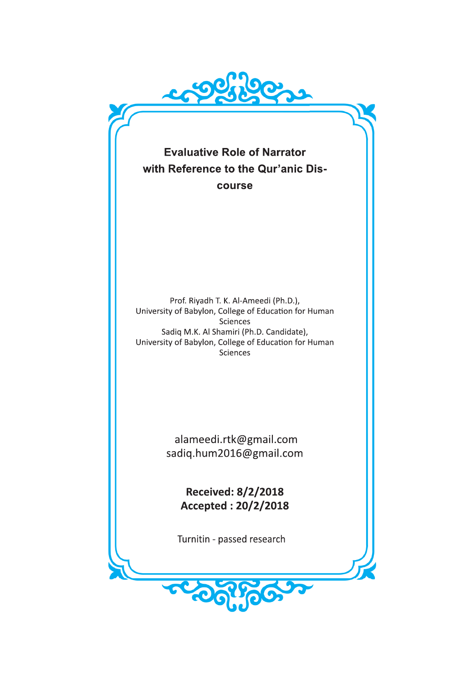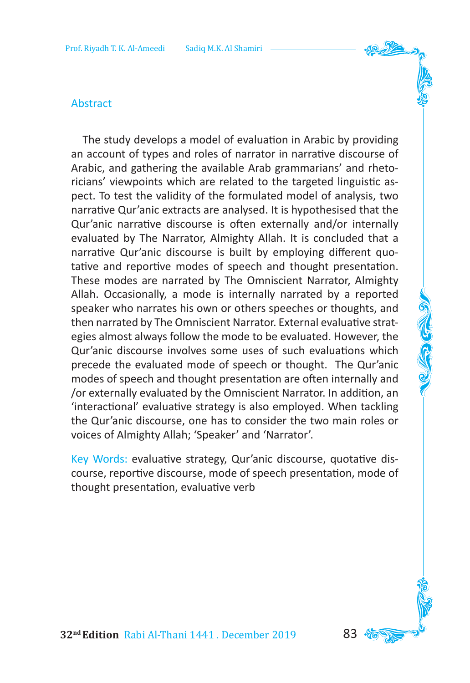#### Abstract

The study develops a model of evaluation in Arabic by providing an account of types and roles of narrator in narrative discourse of Arabic, and gathering the available Arab grammarians' and rhetoricians' viewpoints which are related to the targeted linguistic aspect. To test the validity of the formulated model of analysis, two narrative Qur'anic extracts are analysed. It is hypothesised that the Qur'anic narrative discourse is often externally and/or internally evaluated by The Narrator, Almighty Allah. It is concluded that a narrative Qur'anic discourse is built by employing different quotative and reportive modes of speech and thought presentation. These modes are narrated by The Omniscient Narrator, Almighty Allah. Occasionally, a mode is internally narrated by a reported speaker who narrates his own or others speeches or thoughts, and then narrated by The Omniscient Narrator. External evaluative strategies almost always follow the mode to be evaluated. However, the Qur'anic discourse involves some uses of such evaluations which precede the evaluated mode of speech or thought. The Qur'anic modes of speech and thought presentation are often internally and /or externally evaluated by the Omniscient Narrator. In addition, an 'interactional' evaluative strategy is also employed. When tackling the Qur'anic discourse, one has to consider the two main roles or voices of Almighty Allah; 'Speaker' and 'Narrator'.

Key Words: evaluative strategy, Qur'anic discourse, quotative discourse, reportive discourse, mode of speech presentation, mode of thought presentation, evaluative verb

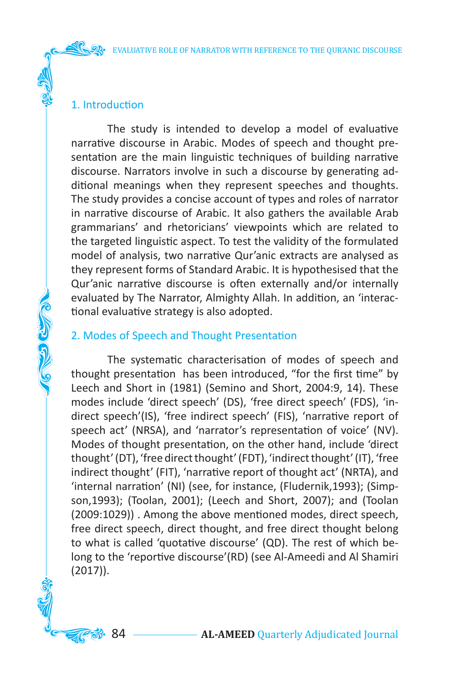## 1. Introduction

AG CO COMP

The study is intended to develop a model of evaluative narrative discourse in Arabic. Modes of speech and thought presentation are the main linguistic techniques of building narrative discourse. Narrators involve in such a discourse by generating additional meanings when they represent speeches and thoughts. The study provides a concise account of types and roles of narrator in narrative discourse of Arabic. It also gathers the available Arab grammarians' and rhetoricians' viewpoints which are related to the targeted linguistic aspect. To test the validity of the formulated model of analysis, two narrative Qur'anic extracts are analysed as they represent forms of Standard Arabic. It is hypothesised that the Qur'anic narrative discourse is often externally and/or internally evaluated by The Narrator, Almighty Allah. In addition, an 'interactional evaluative strategy is also adopted.

# 2. Modes of Speech and Thought Presentation

The systematic characterisation of modes of speech and thought presentation has been introduced, "for the first time" by Leech and Short in (1981) (Semino and Short, 2004:9, 14). These modes include 'direct speech' (DS), 'free direct speech' (FDS), 'indirect speech'(IS), 'free indirect speech' (FIS), 'narrative report of speech act' (NRSA), and 'narrator's representation of voice' (NV). Modes of thought presentation, on the other hand, include 'direct thought' (DT), 'free direct thought' (FDT), 'indirect thought' (IT), 'free indirect thought' (FIT), 'narrative report of thought act' (NRTA), and 'internal narration' (NI) (see, for instance, (Fludernik,1993); (Simpson,1993); (Toolan, 2001); (Leech and Short, 2007); and (Toolan (2009:1029)) . Among the above mentioned modes, direct speech, free direct speech, direct thought, and free direct thought belong to what is called 'quotative discourse' (QD). The rest of which belong to the 'reportive discourse'(RD) (see Al-Ameedi and Al Shamiri (2017)).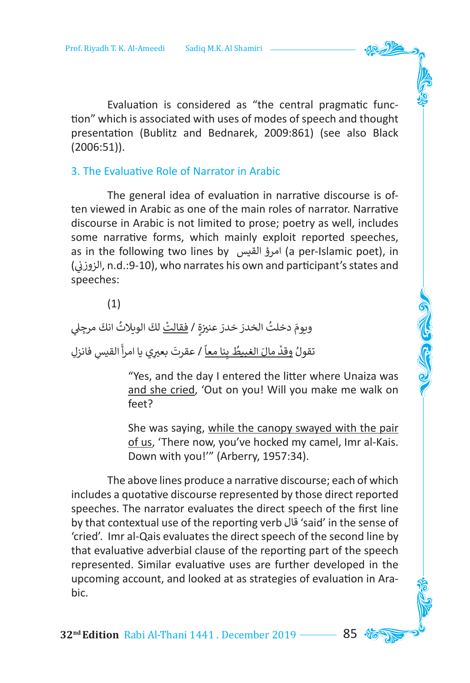Evaluation is considered as "the central pragmatic function" which is associated with uses of modes of speech and thought presentation (Bublitz and Bednarek, 2009:861) (see also Black (2006:51)).

#### 3. The Evaluative Role of Narrator in Arabic

The general idea of evaluation in narrative discourse is often viewed in Arabic as one of the main roles of narrator. Narrative discourse in Arabic is not limited to prose; poetry as well, includes some narrative forms, which mainly exploit reported speeches, as in the following two lines by القيس امرؤ) a per-Islamic poet), in الزوزني), n.d.:9-10), who narrates his own and participant's states and ن speeches:

(1)

َويومَ دخلتُ الخدرَ خدرَ عنيزةٍ / <u>فقالتْ</u> لكَ الويلاتُ انكَ مرجِلي َتقولُ <u>وقدْ مالَ الغبيطُ بِنا معاً</u> / عقرتَ بعيرِي يا امرأ القيسِ فانزلِ ِ ֺׅ֚֝֬ ًَُ**ृ** ֦֧<u>֓</u> ُ

> "Yes, and the day I entered the litter where Unaiza was and she cried, 'Out on you! Will you make me walk on feet?

> She was saying, while the canopy swayed with the pair of us, 'There now, you've hocked my camel, Imr al-Kais. Down with you!'" (Arberry, 1957:34).

The above lines produce a narrative discourse; each of which includes a quotative discourse represented by those direct reported speeches. The narrator evaluates the direct speech of the first line by that contextual use of the reporting verb قال' said' in the sense of 'cried'. Imr al-Qais evaluates the direct speech of the second line by that evaluative adverbial clause of the reporting part of the speech represented. Similar evaluative uses are further developed in the upcoming account, and looked at as strategies of evaluation in Arabic.

**32<sup>nd</sup> Edition** Rabi Al-Thani 1441. December 2019 ––––– 85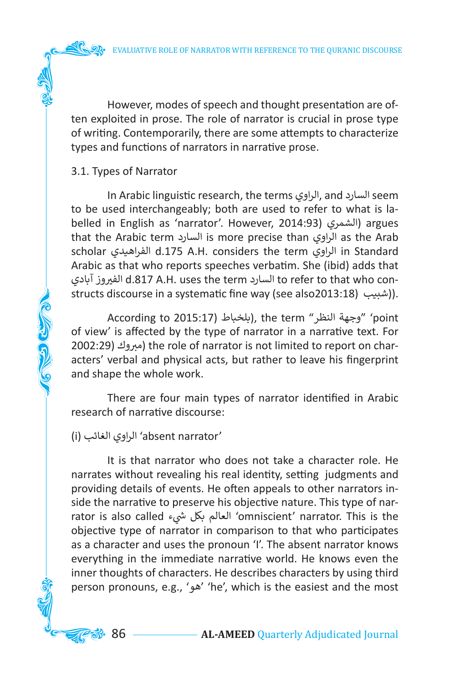However, modes of speech and thought presentation are often exploited in prose. The role of narrator is crucial in prose type of writing. Contemporarily, there are some attempts to characterize types and functions of narrators in narrative prose.

### 3.1. Types of Narrator

**COLLEGED CLASS** 

In Arabic linguistic research, the terms الراوي, and السارد seem to be used interchangeably; both are used to refer to what is labelled in English as 'narrator'. However, 2014:93) (الشمرى (argues that the Arabic term السارد is more precise than الراوي as the Arab scholar الفراهيدي d.175 A.H. considers the term الراوي in Standard Arabic as that who reports speeches verbatim. She (ibid) adds that آبادي وز�الف ي d.817 A.H. uses the term السارد to refer to that who constructs discourse in a systematic fine way (see also2013:18) (. ((شبيب)).

According to 2015:17( بلخباط(, the term "النظر وجهة' "point of view' is affected by the type of narrator in a narrative text. For 2002:29) (مبروك ( the role of narrator is not limited to report on characters' verbal and physical acts, but rather to leave his fingerprint and shape the whole work.

There are four main types of narrator identified in Arabic research of narrative discourse:

# (i) الغائب الراوي' absent narrator'

It is that narrator who does not take a character role. He narrates without revealing his real identity, setting judgments and providing details of events. He often appeals to other narrators inside the narrative to preserve his objective nature. This type of narrator is also called العالم بكل شىء 'omniscient' narrator. This is the objective type of narrator in comparison to that who participates as a character and uses the pronoun 'I'. The absent narrator knows everything in the immediate narrative world. He knows even the inner thoughts of characters. He describes characters by using third person pronouns, e.g., 'هو' 'he', which is the easiest and the most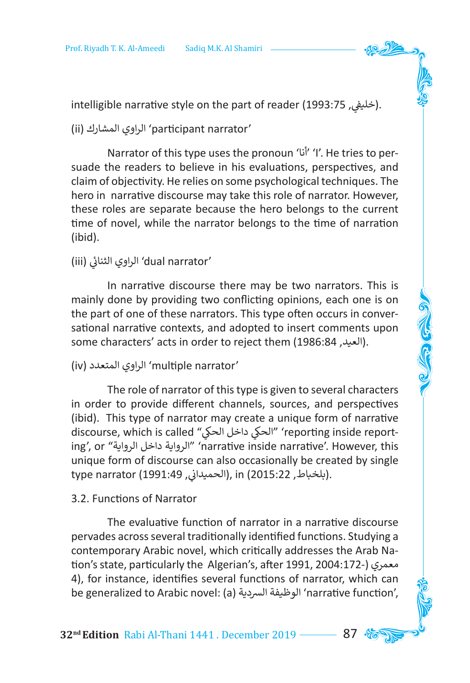intelligible narrative style on the part of reader (1993:75 ).

(ii) المشارك الراوي' participant narrator'

Narrator of this type uses the pronoun 'أنا' 'I'. He tries to persuade the readers to believe in his evaluations, perspectives, and claim of objectivity. He relies on some psychological techniques. The hero in narrative discourse may take this role of narrator. However, these roles are separate because the hero belongs to the current time of novel, while the narrator belongs to the time of narration (ibid).

#### 'dual narrator' الراوي الثنائي (iii) ئ

In narrative discourse there may be two narrators. This is mainly done by providing two conflicting opinions, each one is on the part of one of these narrators. This type often occurs in conversational narrative contexts, and adopted to insert comments upon some characters' acts in order to reject them (1986:84 ,العيد(.

## (iv) المتعدد الراوي' multiple narrator'

The role of narrator of this type is given to several characters in order to provide different channels, sources, and perspectives (ibid). This type of narrator may create a unique form of narrative discourse, which is called "الحك داخل ي الحك ي' " reporting inside reporting', or "الرواية داخل الرواية' "narrative inside narrative'. However, this unique form of discourse can also occasionally be created by single type narrator (1991:49 ,(الحميداني, in (2015:22 ). ن

### 3.2. Functions of Narrator

The evaluative function of narrator in a narrative discourse pervades across several traditionally identified functions. Studying a contemporary Arabic novel, which critically addresses the Arab Nation's state, particularly the Algerian's, after 1991, 2004:172-( معمري 4), for instance, identifies several functions of narrator, which can be generalized to Arabic novel: (a) الرسدية الوظيفة' narrative function',

**32nd Edition** Rabi Al-Thani 1441 . December 2019 87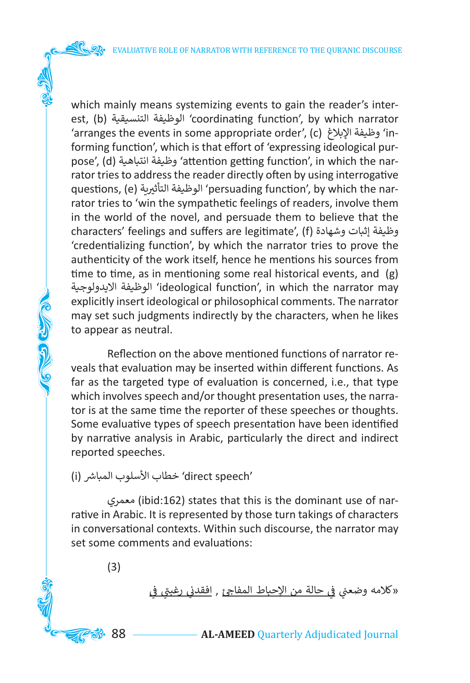which mainly means systemizing events to gain the reader's interest, (b) التنسيقية الوظيفة' coordinating function', by which narrator 'arranges the events in some appropriate order', (c) اإلبالغ وظيفة' informing function', which is that effort of 'expressing ideological purpose', (d) انتباهية وظيفة' attention getting function', in which the narrator tries to address the reader directly often by using interrogative questions, (e) الوظيفة التأثيرية 'persuading function', by which the narrator tries to 'win the sympathetic feelings of readers, involve them in the world of the novel, and persuade them to believe that the characters' feelings and suffers are legitimate', (f) وشهادة إثبات وظيفة 'credentializing function', by which the narrator tries to prove the authenticity of the work itself, hence he mentions his sources from time to time, as in mentioning some real historical events, and (g) االيدولوجية الوظيفة' ideological function', in which the narrator may explicitly insert ideological or philosophical comments. The narrator may set such judgments indirectly by the characters, when he likes to appear as neutral.

Reflection on the above mentioned functions of narrator reveals that evaluation may be inserted within different functions. As far as the targeted type of evaluation is concerned, i.e., that type which involves speech and/or thought presentation uses, the narrator is at the same time the reporter of these speeches or thoughts. Some evaluative types of speech presentation have been identified by narrative analysis in Arabic, particularly the direct and indirect reported speeches.

'direct speech' خطاب الأسلوب المباشر (i)

معمري) ibid:162) states that this is the dominant use of narrative in Arabic. It is represented by those turn takings of characters in conversational contexts. Within such discourse, the narrator may set some comments and evaluations:

(3)

**CERCEMENT** 

ي «كلامه وضعني <u>في حالة من الإحباط المفاجئ</u> , <u>افقدني رغبتي في</u> ن ن

88 **AL-AMEED** Quarterly Adjudicated Journal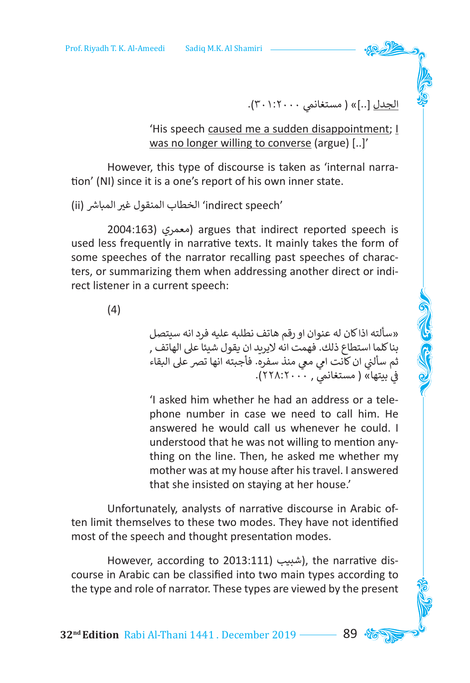ا<u>لجدل</u> [..]» ( مستغانمي ٣٠١:٢٠٠).<br>.

'His speech caused me a sudden disappointment; I was no longer willing to converse (argue) [..]'

However, this type of discourse is taken as 'internal narration' (NI) since it is a one's report of his own inner state.

'speech indirect 'ي الخطاب المنقول غ� ش المبا� (ii(

2004:163( معمري (argues that indirect reported speech is used less frequently in narrative texts. It mainly takes the form of some speeches of the narrator recalling past speeches of characters, or summarizing them when addressing another direct or indirect listener in a current speech:

(4)

»سألته اذا كان له عنوان او رقم هاتف نطلبه عليه فرد انه سيتصل بنا كلما استطاع ذلك. فهمت انه اليريد ان يقول شيئا عىل الهاتف , نثم سألني ان كانت امي معي منذ سفره. فأجبته انها تصر على البقاء<br>. شم ستغانمي علي مستغانمي ( ٢٢٨:٢٠٠٠).<br>في بيتها» ( مستغانمي , ٢٢٨:٢٠٠٠).

'I asked him whether he had an address or a telephone number in case we need to call him. He answered he would call us whenever he could. I understood that he was not willing to mention anything on the line. Then, he asked me whether my mother was at my house after his travel. I answered that she insisted on staying at her house.'

Unfortunately, analysts of narrative discourse in Arabic often limit themselves to these two modes. They have not identified most of the speech and thought presentation modes.

However, according to 2013:111) (شبيب), the narrative discourse in Arabic can be classified into two main types according to the type and role of narrator. These types are viewed by the present

**32<sup>nd</sup> Edition** Rabi Al-Thani 1441. December 2019 ––––– 89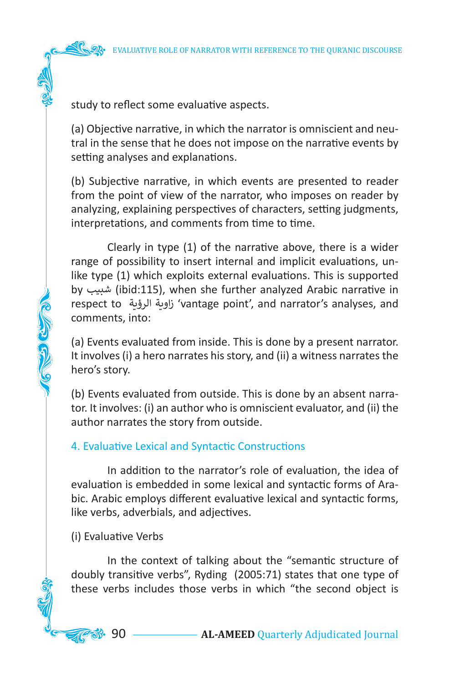

study to reflect some evaluative aspects.

(a) Objective narrative, in which the narrator is omniscient and neutral in the sense that he does not impose on the narrative events by setting analyses and explanations.

(b) Subjective narrative, in which events are presented to reader from the point of view of the narrator, who imposes on reader by analyzing, explaining perspectives of characters, setting judgments, interpretations, and comments from time to time.

Clearly in type (1) of the narrative above, there is a wider range of possibility to insert internal and implicit evaluations, unlike type (1) which exploits external evaluations. This is supported by شبيب) ibid:115), when she further analyzed Arabic narrative in respect to الرؤية زاوية' vantage point', and narrator's analyses, and comments, into:

(a) Events evaluated from inside. This is done by a present narrator. It involves (i) a hero narrates his story, and (ii) a witness narrates the hero's story.

(b) Events evaluated from outside. This is done by an absent narrator. It involves: (i) an author who is omniscient evaluator, and (ii) the author narrates the story from outside.

# 4. Evaluative Lexical and Syntactic Constructions

In addition to the narrator's role of evaluation, the idea of evaluation is embedded in some lexical and syntactic forms of Arabic. Arabic employs different evaluative lexical and syntactic forms, like verbs, adverbials, and adjectives.

### (i) Evaluative Verbs

ふき さん

In the context of talking about the "semantic structure of doubly transitive verbs", Ryding (2005:71) states that one type of these verbs includes those verbs in which "the second object is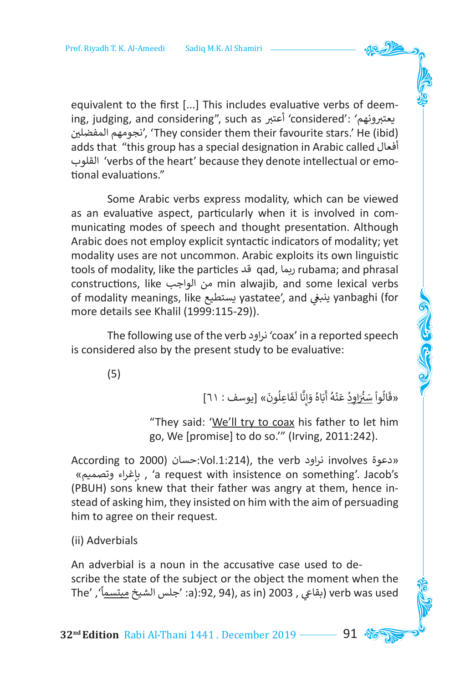equivalent to the first [...] This includes evaluative verbs of deem-<br>ing, judging, and considering", such as أعتبر ونهم 'considered': 'معتبرونهم ing, judging, and considering", such as أعتبر ونهم 'considered': 'يعتبرونهم<br>نجومهم المفضلين , 'They consider them their favourite stars.' He (ibid) adds that "this group has a special designation in Arabic called أفعال القلوب' verbs of the heart' because they denote intellectual or emotional evaluations."

Some Arabic verbs express modality, which can be viewed as an evaluative aspect, particularly when it is involved in communicating modes of speech and thought presentation. Although Arabic does not employ explicit syntactic indicators of modality; yet modality uses are not uncommon. Arabic exploits its own linguistic tools of modality, like the particles قد qad, ربما rubama; and phrasal constructions, like الواجب من min alwajib, and some lexical verbs of modality meanings, like يستطيع yastatee', and ي ينبغ yanbaghi (for more details see Khalil (1999:115-29)).

The following use of the verb نراود' coax' in a reported speech is considered also by the present study to be evaluative:

(5)

َ«قَالُواْ <u>سَنُرَاوِد</u>ُ عَنْهُ أَبَاهُ وَإِنَّا لَفَاعِلُونَ» [يوسف : ٦١] َ ً<br>أ ِ إ َ َ ֧֘<u>֓</u> َ ؚ<br>ا ُ ֧֦֧֦֧֦ َ

**COCOOL** 

"They said: 'We'll try to coax his father to let him go, We [promise] to do so.'" (Irving, 2011:242).

According to 2000( حسان:Vol.1:214), the verb نراود involves دعوة» »وتصميم بإغراء ,' a request with insistence on something'. Jacob's (PBUH) sons knew that their father was angry at them, hence instead of asking him, they insisted on him with the aim of persuading him to agree on their request.

(ii) Adverbials

An adverbial is a noun in the accusative case used to de scribe the state of the subject or the object the moment when the The' , (بقاعي , 2003 (a):92, 94), as in (2003) verb was used ً

**32<sup>nd</sup> Edition** Rabi Al-Thani 1441 . December 2019 **91**  $\frac{6}{10}$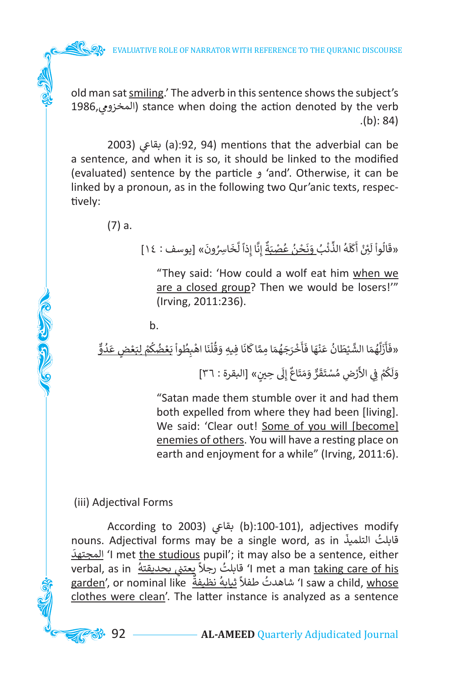old man sat smiling.' The adverb in this sentence shows the subject's 1986,المخزوم ي ) stance when doing the action denoted by the verb  $(b): 84$ 

2003) بقاعي (a):92, 94) mentions that the adverbial can be a sentence, and when it is so, it should be linked to the modified (evaluated) sentence by the particle و' and'. Otherwise, it can be linked by a pronoun, as in the following two Qur'anic texts, respectively:

(7) a.

**COLLEGED** 

َ«قَالُواْ لَئِنْ أَكَلَهُ الذِّنْب<u>ُ وَنَحْنُ عُصْبَةٌ</u> إِنَّا إِذاً لَّخَاسِرُونَ» [يوسف : ١٤] َُ ֘<sub>֓</sub> ٍّ ُ֧֧֘֟֓<u>֓</u>֖֚֓ َ **∶** ً<br>آ َ َ َ

"They said: 'How could a wolf eat him when we are a closed group? Then we would be losers!'" (Irving, 2011:236).

b.

ٌّ ُ«فَأَزَلَّهُمَا الشَّيْطَانُ عَنْهَا فَأَخْرَجَهُمَا مِمَّا كَانَا فِيهِ وَقُلْنَا اهْبِطُواْ يَعْضُكُمْ <u>لبَعْضٍ عَدُوٌّ</u> **ّ** ֧֧֟֓<u>֓</u> ֦֧֦֧֦֧<u>֓</u> ُ ُ֦֧֦֧֦֧֦֧֦֧֦֧֦֧֦֧ׅ֧֜֓֓<u>֚</u> ֦֧֦֧֦ ُ֦֧<u>֓</u> ֦֧֦֧֦ ُ ََ ٌَََّ<br>ا َ֦֧֦֧֦֧֦֧֦֧֦֧֦֧֦֧ َ َ َ֦֧֦֧֦֧<u>֓</u> **ّ** ٍَََّ<br>ا ۔<br>ا َ َ َ ً<br>أ ََ ֚֬ ُ َ

وَلَكُمْ فِي الأَرْضِ مُسْتَقَرٌّ وَمَتَاعٌ إِلَى حِينٍ» [البقرة : ٣٦] ن َ֦֧<u>֓</u> ُ់<br>( َ

"Satan made them stumble over it and had them both expelled from where they had been [living]. We said: 'Clear out! Some of you will [become] enemies of others. You will have a resting place on earth and enjoyment for a while" (Irving, 2011:6).

(iii) Adjectival Forms

According to 2003) بقاعي (b):100-101), adjectives modify nouns. Adjectival forms may be a single word, as in َسَامِیْت nouns. Adjectival forms may be a single word, as<br>قابلتُ التلميذُ i mot the studious nupil': it may also be a septence, either المجتهد' I met the studious pupil'; it may also be a sentence, either verbal, as in ُ يعت� ي بحديقته ُ رجال قابلت' I met a man taking care of his ً نe i met a man <u>taking care of ms</u><br>g<u>arden',</u> or nominal like أشاهدتُ طفلاً ثيابهُ نظيفةٌ garden', or nominal like .<br>و ًclothes were clean'. The latter instance is analyzed as a sentence

**3** 92 — **AL-AMEED** Quarterly Adjudicated Journal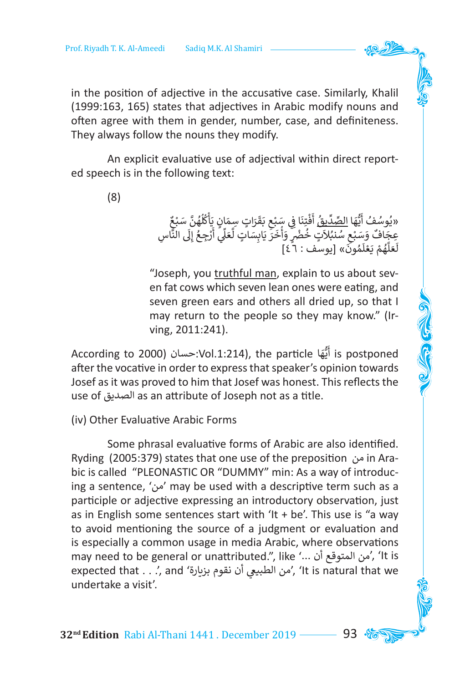in the position of adjective in the accusative case. Similarly, Khalil (1999:163, 165) states that adjectives in Arabic modify nouns and often agree with them in gender, number, case, and definiteness. They always follow the nouns they modify.

An explicit evaluative use of adjectival within direct reported speech is in the following text:

(8)

ٌ «يُوسُفُ أَيُّهَا <u>الصِّدِّينُ</u> أَفْتِنَا فِي سَبْعِ بَقَرَاتٍ سِمَانٍ يَأْكُلُهُنَّ سَبْعٌ<br>مَانَ<sup>هٌ</sup> مَكَشَفُ الْمُجَانِّينَ فَيْ أَوْجَبَ مَا مَنْ تَجَدَّ أَوْ أَوْ الْمَالَى الْأَلْفُلُ َا<br>ا ا<br>ا ُ ֧֧֦֧֟֟֓֝<u>֚</u> َ ֺََََ<u>֓</u> ֦֧֦֧֦֧֦֧֦֧֦֧֦֧֦֧֦֧֦֧֦֧֦֧֦֧֜**֟** َ **ื้** ٍِّ<br>ا َُّ ِسِّ وَسَيْتِ الْ<u>سَيْتِينَ</u> الَّيْنَ فِي سَبْعِ بَعْرَاتٍ سَمْنَاتٍ يَا بَنْهَنَّ سَبْعِ<br>عِجَافٌ وَسَبْعِ سُنْبُلاتٍ خُضْرٍ وَأَخَرَ يَابِسَاتٍ لَّعَلِّي أَرْجِعُ إِلَى النَّاسِ<br>يَحَذَّكُ وَحَافُ وَسَبْعِ ֦֧֦֧֖֖֖֖֧֧֧֧֧֧֪֧֧֪֧֧֪֧֚֚֚֚֚֚֚֚֚֚֚֚֚֚֚֚֚֚֚֚֚֚֚֝֩֟֓֟֓֟֓֟֓֟֓֝֓֟֓֓֝֓֝֓֓֟֓֟֓֝֬֝֓֝֬֝֓֝֬֝֬֝ ا<br>أ ِّ َ֖֖֖֧֪֖֧֖֧֚֚֚֚֚֚֚֚֚֚֚֚֚֚֚֚֚֚֚֚֚֚֚֚֚֝֝֝֝֝֝֝֓֟֓֟֓֞֓֓֝֓֟֓֝֓֓֝֓֝ ََام<br>آ أ َ ۔<br>وفات َ ا<br>و ֺ<u>֓</u> ََا<br>; ر .<br>لَعَلَّهُمْ يَعْلَمُونَ» [يوسَف : ٦ ٤] َُ ֖֖֧֚֝֟֟֓֟֓֝֟֘֝֬֝֬֝֬֝֬<u>֟</u> ٍ<br>ا َّ َ֖֖֖֖֧֖֚֚֚֚֚֚֚֚֚֚֚֚֚֚֚֚֚֚֚֚֚֚֚֚֚֚֚֚֝֝֝֝֟֓֟֓֡֟֓֞֝֟֓֞֟֓֞֟֓֞֟֓

"Joseph, you truthful man, explain to us about seven fat cows which seven lean ones were eating, and seven green ears and others all dried up, so that I may return to the people so they may know." (Irving, 2011:241).

According to 2000( حسان:Vol.1:214), the particle ا ه ي أ is postponed ٍ<br>أ َُّ after the vocative in order to express that speaker's opinion towards Josef as it was proved to him that Josef was honest. This reflects the use of الصديق as an attribute of Joseph not as a title.

(iv) Other Evaluative Arabic Forms

Some phrasal evaluative forms of Arabic are also identified. Ryding (2005:379) states that one use of the preposition من in Arabic is called "PLEONASTIC OR "DUMMY" min: As a way of introducing a sentence, 'من 'may be used with a descriptive term such as a participle or adjective expressing an introductory observation, just as in English some sentences start with 'It  $+$  be'. This use is "a way to avoid mentioning the source of a judgment or evaluation and is especially a common usage in media Arabic, where observations may need to be general or unattributed.", like '... أن المتوقع من',' It is expected that . . .', and 'بن الطبيعي أن نقوم بزيارة , 'It is natural that we undertake a visit'.

**32<sup>nd</sup> Edition** Rabi Al-Thani 1441. December 2019 ––––– 93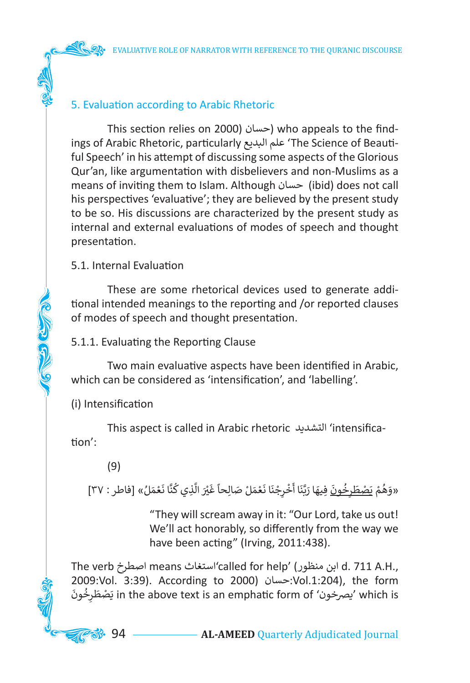# 5. Evaluation according to Arabic Rhetoric

This section relies on 2000( حسان (who appeals to the findings of Arabic Rhetoric, particularly البديع علم' The Science of Beautiful Speech' in his attempt of discussing some aspects of the Glorious Qur'an, like argumentation with disbelievers and non-Muslims as a means of inviting them to Islam. Although حسان) ibid) does not call his perspectives 'evaluative'; they are believed by the present study to be so. His discussions are characterized by the present study as internal and external evaluations of modes of speech and thought presentation.

# 5.1. Internal Evaluation

These are some rhetorical devices used to generate additional intended meanings to the reporting and /or reported clauses of modes of speech and thought presentation.

5.1.1. Evaluating the Reporting Clause

Two main evaluative aspects have been identified in Arabic, which can be considered as 'intensification', and 'labelling'.

(i) Intensification

あも じょう

This aspect is called in Arabic rhetoric التشديد' intensification':

(9)

ُ«وَهُمْ يَ<u>صْطَرِخُونَ</u> فِيهَا رَبَّنَا أَخْرِجْنَا نَعْمَلْ صَالِحاً غَيْرَ الَّذِي كُنَّا نَعْمَلُ» [فاطر : ٣٧] َ֧֧֟֓<u>֓</u>֖֚֓ َ ُ َّ َ ؚ<br>ّ َ֧֘<u>֓</u>֖֚֓ َ ֦֧֦֧֦֧֦֧֦֧֦֧֦֧֦֧ ֦֧<u>֝</u> َ ֧֖֧ׅ֧֚֚֚֚֚֚֚֚֚֚֚֚֚֝֝֓֜֓֓<u>֓</u> ِ<br>ا ؚ<br>ا َ َُ֦֧<u>֓</u> ֦֧֦֧<u>֓</u> َُ

> "They will scream away in it: "Our Lord, take us out! We'll act honorably, so differently from the way we have been acting" (Irving, 2011:438).

The verb اصطرخ means استغاث'called for help' (منظور ابن d. 711 A.H., 2009:Vol. 3:39). According to 2000( حسان:Vol.1:204), the form َ ُ ون ِخ ر ط َص ي in the above text is an emphatic form of 'يرصخون 'which is َ.<br>د

**33.** 94 **AL-AMEED** Quarterly Adjudicated Journal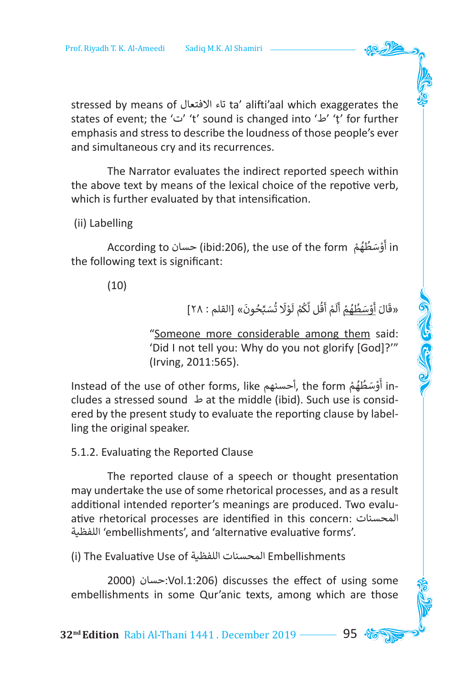stressed by means of االفتعال تاء ta' alifti'aal which exaggerates the states of event; the 'ت' 't' sound is changed into 'ط' 'ṭ' for further emphasis and stress to describe the loudness of those people's ever and simultaneous cry and its recurrences.

The Narrator evaluates the indirect reported speech within the above text by means of the lexical choice of the repotive verb, which is further evaluated by that intensification.

(ii) Labelling

in أَوْسَطُهُمْ According to حسان), the use of the form حسان) in ٍ<br>ا َُ֦֧<u>֓</u> َ the following text is significant:

(10)

َ«قَالَ <u>أَوْسَطُهُمْ</u> أَلَمْ أَقُل لَّكُمْ لَوْلَا تُسَبِّحُونَ» [القلم : ٢٨] َُ֦֧<u>֝</u> َ ُ ۔<br>أ َ ً<br>أ َ ٍ<br>ا َُ֦֧<u>֓</u> َ **َ**  أ َ

CHICAGO CENTRAL

"Someone more considerable among them said: 'Did I not tell you: Why do you not glorify [God]?'" (Irving, 2011:565).

-Instead of the use of other forms, like أحسنهم Instead of the use of other forms, like ٌ<br>ا َُ֦֧֦֧֦֧֝<u>֚</u> َ cludes a stressed sound ط at the middle (ibid). Such use is considered by the present study to evaluate the reporting clause by labelling the original speaker.

5.1.2. Evaluating the Reported Clause

The reported clause of a speech or thought presentation may undertake the use of some rhetorical processes, and as a result additional intended reporter's meanings are produced. Two evaluative rhetorical processes are identified in this concern: المحسنات اللفظية' embellishments', and 'alternative evaluative forms'.

(i) The Evaluative Use of اللفظية المحسنات Embellishments

2000( حسان:Vol.1:206) discusses the effect of using some embellishments in some Qur'anic texts, among which are those

**32<sup>nd</sup> Edition** Rabi Al-Thani 1441. December 2019 ––––– 95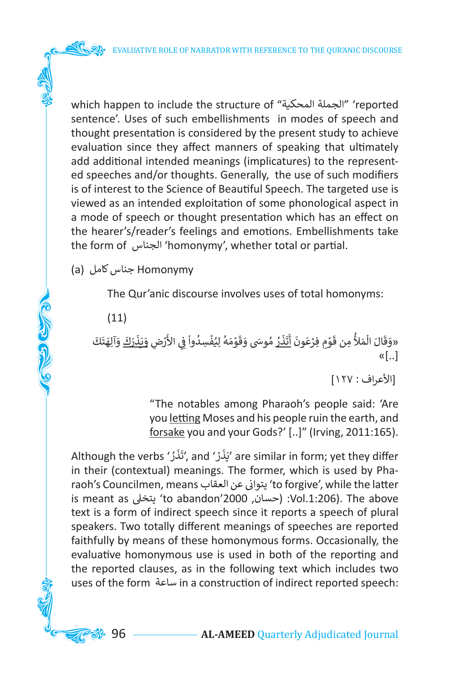which happen to include the structure of "المحكية الجملة' "reported sentence'. Uses of such embellishments in modes of speech and thought presentation is considered by the present study to achieve evaluation since they affect manners of speaking that ultimately add additional intended meanings (implicatures) to the represented speeches and/or thoughts. Generally, the use of such modifiers is of interest to the Science of Beautiful Speech. The targeted use is viewed as an intended exploitation of some phonological aspect in a mode of speech or thought presentation which has an effect on the hearer's/reader's feelings and emotions. Embellishments take the form of الجناس' homonymy', whether total or partial.

Homonymy جناس كامل (a(

The Qur'anic discourse involves uses of total homonyms:

(11)

**COLLEGED** 

َ «وَقَالَ الْمَلأُ مِن قَوْمِ فِرْعَونَ <u>أَتَذَرُ</u> مُوسَى وَقَوْمَهُ لِيُفْسِدُواْ فِي الأَرْضِ <u>وَيَذَرَكَ</u> وَآلِهَتَكَ<br>-ََ َ **ٔ** ֺׅ֝֬֝֟ و<br>ا ֦֧֦֧֦֧֦֧֦֧֦֧֦֧֦֧֦֧֦֧֦֧֦֧֦֧֦֧<u>֚֓</u> ׇَُ֦֚֝ ֺ֧֦֧֦֧֚<u>֓</u> ֺُ֘ َ َ َ أ <u>ّ</u> ֦֧֧֟֓֟֓֓<u>֓</u> ֦֧֦֧֦֧֦֧֦֧֦֧֦֧֦֧ׅ֧֜֓֓<u>֚</u> ׇ֦֚֝ ُ َ់<br>ព្រៃ ֺׅ֝ ֺׅ  $\kappa$ [..]

]األعراف : 127[

"The notables among Pharaoh's people said: 'Are you letting Moses and his people ruin the earth, and forsake you and your Gods?' [..]" (Irving, 2011:165).

Although the verbs 'يَذَرْ and 'يَذَرْ), and 'يَذَرْ are similar in form; yet they differ َ َ ֦֧֦֧֦֧֦֧֦֧֦֧֦֧֦֧֧֦֧֦֧֦֧֧֜֓֜֓<u>֓</u> َ in their (contextual) meanings. The former, which is used by Pharaoh's Councilmen, means العقاب عن <sup>ن</sup> �يتوا' to forgive', while the latter is meant as يتخىل' to abandon'2000 ,حسان ):Vol.1:206). The above text is a form of indirect speech since it reports a speech of plural speakers. Two totally different meanings of speeches are reported faithfully by means of these homonymous forms. Occasionally, the evaluative homonymous use is used in both of the reporting and the reported clauses, as in the following text which includes two uses of the form ساعة in a construction of indirect reported speech: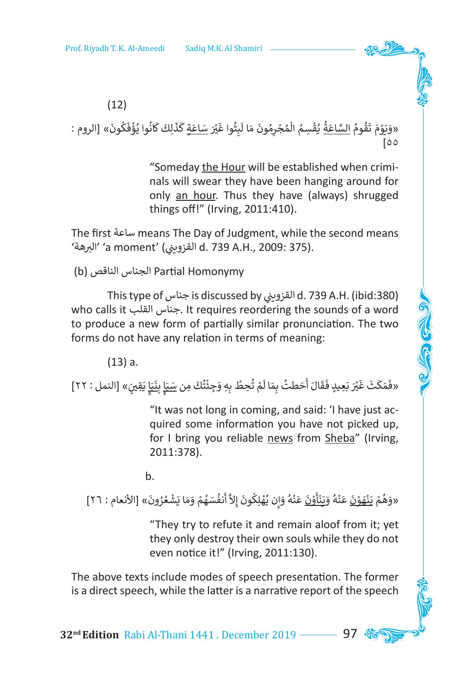

َ«وَيَوْمَ تَقُومُ <u>السَّاعَةُ</u> يُقْسِمُ الْمُجْرِمُونَ مَا لَبِثُوا غَيْر<u>َ سَاعَةٍ</u> كَذَلِكَ كَانُوا يُؤْفَكُونَ» [الروم : َُ ֧֦֖֧֝֟֟֓֝<u>֖֚֓</u> ََ **ृ ृ** ֺ<u>֓</u> َ ً<br>أ َُ֘<u>֝</u> ُ֦֧֦֧֧֦֧֦֧֦֧֦֧֧֦֧֧֧֦֧֧֦֧֝֜֓֜֜֜֓<br>֧֜**֓** ֦֧֦֦֖֧֟֟֓֝֝<u>֚</u> ُ<u>ّ</u> ֺَُُّ֧֦֧֦֧֦֧֝<u>֓</u> ֦֧֦֧֦֧<u>֚֓</u> ֺ<u>֓</u>  $\overline{5}$ 

> "Someday the Hour will be established when criminals will swear they have been hanging around for only an hour. Thus they have (always) shrugged things off!" (Irving, 2011:410).

The first ساعة means The Day of Judgment, while the second means البرهة' (a moment' (القزويني ) d. 739 A.H., 2009: 375).

(b) الناقص الجناس Partial Homonymy

This type of جناس is discussed by ي� القزوي ن d. 739 A.H. (ibid:380) who calls it القلب جناس. It requires reordering the sounds of a word to produce a new form of partially similar pronunciation. The two forms do not have any relation in terms of meaning:

(13) a.

«فَمَكَثَ غَيْرَ بَعِيدٍ فَقَالَ أَحَطتُ بِمَا لَمْ تُحِطْ بِهِ وَجِئْتُكَ مِن <u>سَبَإٍ بِنَبَ</u>إٍ يَقِينٍ» [النمل : ٢٢] ن ֧֝<u>֡</u> َ َ َ ََ֦֧<u>֓</u> ֺ<u>֚֓</u> ُ ً<br>أ َََ ََ َ َ َََ

> "It was not long in coming, and said: 'I have just acquired some information you have not picked up, for I bring you reliable news from Sheba" (Irving, 2011:378).

b.

َ«وَهُمْ يَنْ<u>هَوْنَ</u> عَنْهُ وَيَ<u>نْأَوْنَ</u> عَنْهُ وَإِن يُهْلِكُونَ إِلاَّ أَنفُسَهُمْ وَمَا يَشْعُرُونَ» [الأنعام : ٢٦] ٌءِ ُ֦֧֦֧֦֧֦֧֦֧֦֧֦֧֦֧ׅ֧֜֓֓<u>֚</u> ֺَُ<u>֓</u> َُ ُ֦֧֦֧֦֧֦֧֦֧֦֧֦֧֦֧֧֜֓<u>֓</u> ُإ َ ֦֧<u>֓</u> َ ֦֧<u>֓</u> َ ֦֧<u>֓</u> ֧֝<u>֡</u> َ ֦֧<u>֝</u> **ّ** ֦֧<u>֝</u> َ֦֧<u>֝</u> َ ֦֧֦֧֦֧֦֧֦֧֦֧֦֧֦֧ׅ֧֜֓֓<u>֚</u> َُ

> "They try to refute it and remain aloof from it; yet they only destroy their own souls while they do not even notice it!" (Irving, 2011:130).

The above texts include modes of speech presentation. The former is a direct speech, while the latter is a narrative report of the speech

**32<sup>nd</sup> Edition** Rabi Al-Thani 1441. December 2019 ––––– 97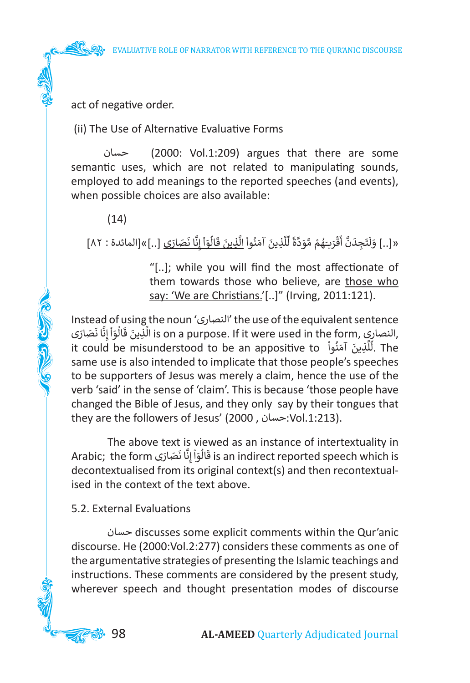act of negative order.

(ii) The Use of Alternative Evaluative Forms

 حسان) 2000: Vol.1:209) argues that there are some semantic uses, which are not related to manipulating sounds, employed to add meanings to the reported speeches (and events), when possible choices are also available:

(14)

**COLLEGE** 

َ«[..] وَلَتَجِدَنَّ أَقْرَبَـهُمْ مَّوَدَّةً لِّلَّذِينَ آمَنُواْ <u>الَّذِينَ قَالُوَاْ إِنَّا نَصَارَى</u> [..]»[المائدة : ٨٢] ؚ<br>ّ َّ إ ֧֦֧֦ ا َ الماضية<br>الماضية ًََ<br>أ ֧֦֧֦ ََّ **ृ** َّ ़<br>; ٍَّ<br>ا َؚ<br>ا ֦֧֦֖֧֟֟֓֟֓֝<u>֓</u> َ ََ ً<br>أ َ

> "[..]; while you will find the most affectionate of them towards those who believe, are those who say: 'We are Christians.'[..]" (Irving, 2011:121).

Instead of using the noun 'النصارى 'the use of the equivalent sentence me use or the equivalent sentence النصارى, ine use or the equivalent sentence<br>النصارى, is on a purpose. If it were used in the form, النصارى, َا َ ٍ<br>أ ֦֧֦֦֖֪֛֪֖֪֖֪֦֪֛֪ׅ֛֛֚֚֚֚֚֝֝֝֝֝֓֝֓֝֓֟֓֟֓֝֬֝֓֟֓֝֬֝֓֟֓֟֓֟֓֟֓֬֝֓֟֓֟֓֬֝֓֞֟֓֝֓֝֓֝֓֞֟֓֝֓֝֟֓֝֓֝֓֞֝֓֝֓ ٍ<br>أ استوين حالوا إلى تصدر الله العام الله العام الله الله الله عليه الله عليه الله الله عليه الله عليه الله الله ا<br>It could be misunderstood to be an appositive to أَللَّذِينَ آمَنُواْ The ََّ **'** same use is also intended to implicate that those people's speeches to be supporters of Jesus was merely a claim, hence the use of the verb 'said' in the sense of 'claim'. This is because 'those people have changed the Bible of Jesus, and they only say by their tongues that they are the followers of Jesus' (2000 , حسان:Vol.1:213).

The above text is viewed as an instance of intertextuality in Arabic; the form <sup>ى</sup> َ ار َص َّا ن ِ ن ْ إ و ال ق is an indirect reported speech which is ؚ<br>ۣ ا َ ا<br>افغانستان َdecontextualised from its original context(s) and then recontextualised in the context of the text above.

5.2. External Evaluations

حسان discusses some explicit comments within the Qur'anic discourse. He (2000:Vol.2:277) considers these comments as one of the argumentative strategies of presenting the Islamic teachings and instructions. These comments are considered by the present study, wherever speech and thought presentation modes of discourse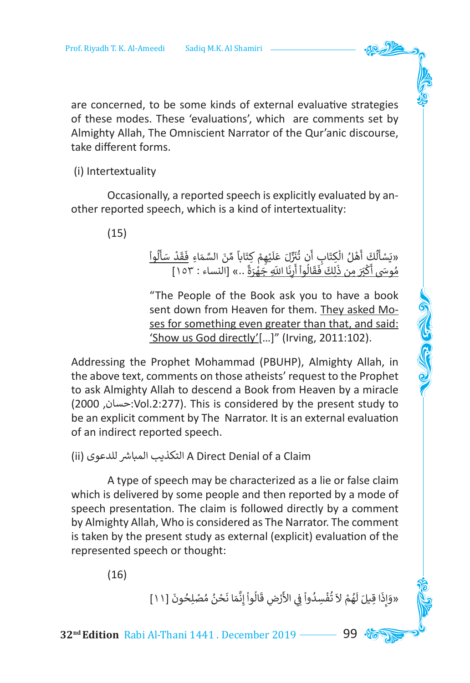are concerned, to be some kinds of external evaluative strategies of these modes. These 'evaluations', which are comments set by Almighty Allah, The Omniscient Narrator of the Qur'anic discourse, take different forms.

(i) Intertextuality

Occasionally, a reported speech is explicitly evaluated by another reported speech, which is a kind of intertextuality:

(15)

֧֦֧֦ ُوا ل أ س د ق ِاء ف م َ الس ن ً م َابا ِ كت ِ م ه ي ل َ ع ل ز ُ� ن َن ت ِ اب أ ِكت ُ ال ل ه َ أ ُك ل أ َس »ي َ ֺ<u>֓</u> <u>ّ</u> ֺَׅ֦ׅ֦ׅ֝֬֘֝֬֝֓֡֡ ََِّّ֦֧֦֧֦֧֦֧֦֧֦֧֦֧֦֧ׅ֧֜֓֓<u>֚</u> ֧֘֝֟֓<u>֓</u>֖֚֓ َ <u>ّ</u> َِّ َ ْ َْ َ ֘<u>֝</u> ً«بستت اس النساء : ٥ مرن عليهم نباب س السماء : ١٥٣.<br>مُوسَى أَكْبَرَ مِن ذَلِكَ فَقَالُواْ أَرِنَا اللّهِ جَهْزَةً ..» [النساء : ١٥٣] َْ֖֖֖֖֖֖֧֖֖֧֪֪ׅ֧֧֧֧֚֚֚֚֚֚֚֚֚֚֚֚֚֚֚֚֡֝֓֝֟֓֟֓֟֓֡֟֓֡֟֓֡֟֓֡֟֓֡֬֓֝֬֝֬֞֬֞֝֬ َ ֧֖֧֧֧֚֚֚֚֚֚֚֚֝֟֬֝֓֕֓֕֓֝֓֕֓֝֬֝֓֬֝֬֝֓֕֓֕֓֝֬ أ ْ ََ ََ ֦֧֦֧֦֧֦֧֦֧֦֧֚֝֝֟ ֺ֖֧֪֪֦֧֪ׅ֧֧֧ׅ֖֧֧ׅ֧֚֚֚֚֝֝֟֟֓֕֬֝֟֓֝֬֝֬֝֬֝֬֝֬֝֬֝֬֝֬֝֟֟֓֝֬֓֟֓֝֬֜֝֬֜֓֝֬ ُ

"The People of the Book ask you to have a book sent down from Heaven for them. They asked Moses for something even greater than that, and said: 'Show us God directly'[…]" (Irving, 2011:102).

Addressing the Prophet Mohammad (PBUHP), Almighty Allah, in the above text, comments on those atheists' request to the Prophet to ask Almighty Allah to descend a Book from Heaven by a miracle (2000 ,حسان:Vol.2:277). This is considered by the present study to be an explicit comment by The Narrator. It is an external evaluation of an indirect reported speech.

(ii) التكذيب المباشر للدعوى A Direct Denial of a Claim

A type of speech may be characterized as a lie or false claim which is delivered by some people and then reported by a mode of speech presentation. The claim is followed directly by a comment by Almighty Allah, Who is considered as The Narrator. The comment is taken by the present study as external (explicit) evaluation of the represented speech or thought:

(16)

«وَإِذَا قِيلَ لَهُمْ لاَ تُفْسِدُواْ فِي الأَرْضِ قَالُواْ إِنَّمَا نَحْنُ مُصْلِحُونَ [١١] ُ֦֧<u>֓</u> ُ֦֧֦֧֦֧֦֧֦֧֦֧֦֧֦ ََّ َ់<br><sup>្</sup> َ ُ֦֧֦֧֦֧<u>֚</u> ُ ٍ<br>ٌ َ َ إ َ

**32<sup>nd</sup> Edition** Rabi Al-Thani 1441. December 2019 ––––– 99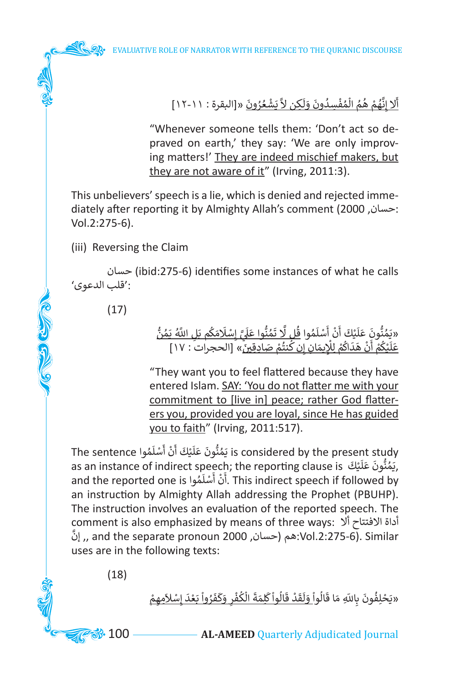

"Whenever someone tells them: 'Don't act so depraved on earth,' they say: 'We are only improving matters!' They are indeed mischief makers, but they are not aware of it" (Irving, 2011:3).

This unbelievers' speech is a lie, which is denied and rejected immediately after reporting it by Almighty Allah's comment (2000 ,حسان: Vol.2:275-6).

(iii) Reversing the Claim

حسان) ibid:275-6) identifies some instances of what he calls :'قلب الدعوى'

(17)

College of

ُّ ُ«يَمُنُّونَ عَلَيْكَ أَنْ أَسْلَمُوا <u>قُل لَّا تَمُنُّوا عَلَيَّ إِسْلَامَكُم بَلِ اللَّهُ يَمُنُّ</u><br>وَيَسْتَحْقَّ مِنْ اللَّهُ الْمَنْ الْمَنْ الْمَنْ الْمَنْ اللَّهُ يَمُنُّ ُ ً<br>آ ֘<u>֓</u> َّ إ ي ً<br>ا ََُ َُّ۬<sub>ّ</sub> ֚֡<u>֓</u> َ َ ً<br>ا َ َُ « ]الحجرات : 17[ ِادِقي� ص ُم نت ِنك ِان إ ِ يم ِل ل م اك د ه ن م ْك ي ل ع ن َ֦֧֖֖֖֧֧֧֧֖֖֟֟֓֟֓֟֓֟֓֕֓֕֓֓֓֓֟֓֓֟֓֬֓֬֓֓֬֓֓֬֓֓֬֓֓֝֓֓֬֓֓֝֓֬֓֓֬֓֓֝֓֓֬֓֬֓֓֬֓֓֝֓֬֝֓֝֬֝֓֬֝֓֬֝֓ ∫<br>∫ َْ ֦֧֦֧֦֧֦֧֦֧֦֧֦֧֦֧֧֜֓<u>֚</u> ا<br>ا ֖֖֪֖֖֖֖֖֧֪֪֪֦֪֪֪֪֪֪֪ׅ֪֪֪֪֪֪֪֪֪֪֪֪֪֪֪֪֪֪֪֪֪֚֚֚֚֚֚֚֚֚֚֚֚֚֚֚֚֚֝֝֝֝֝֝֝֟֓֟֓֟֓֟֓֝֟֓֝֝֓֝֝֝֝֝ َ֦֧<u>֓</u> ֺ<u>֚֓</u> ֦֧֖֧֚֚֟֝֝֝֝*֟*  أ ا<br>ا ֦֧֧֧֧֧֧֧֧ׅ֧֧ׅ֧ׅ֧֛֧֪ׅ֧֛֛֛֪֦֧֚֚֚֚֚֚֚֚֚֚֚֚֚֚֚֚֚֚֚֚֚֚֚֚֚֚֚֚֚֚֚֚֝֓֓֟֓֓֓֓֟֓֡֓֞֡֓֞֓֓֜֓֓֜֓֝֬֓֝֓֓֝֓֝ َ

"They want you to feel flattered because they have entered Islam. SAY: 'You do not flatter me with your commitment to [live in] peace; rather God flatterers you, provided you are loyal, since He has guided you to faith" (Irving, 2011:517).

is considered by the present study يَمُنُّونَ عَلَيْكَ أَنْ أَسْلَمُوا The sentence ً<br>آ ֧֘<u>֓</u> ֺׅ֚֝֬ ֺׅ֚֝֬ ً<br>آ **ّ** ُis considered by the present study, .<br>كَمُنُّونَ عَلَيْكَ as an instance of indirect speech; the reporting clause is, يَمُنُّونَ عَلَيْكَ, ً<br>آ َ ्<br>१ as an instance of indirect speech, the reporting clause is صيفت and the reported one is .<br>This indirect speech if followed by . ا<br>آ ا<br>، ֺ֧֖֖֖֖֖֖֖֖֖ׅ֖ׅ֖ׅ֖ׅ֖ׅ֖ׅ֖ׅ֖֧ׅ֪֪֪ׅ֦֧ׅ֖֧֧֚֚֚֚֚֚֚֚֚֚֚֚֚֚֚֚֚֚֚֚֚֚֝֬֝֬֝֝֓֞֟֓֞֞֟֓֞֟֓֞֞֟֓֞֟֝֬֞֓֞֝֬֝֬֝ ֺ֖֖֦֖֖֖֦֦֦֖֧֦֖֚֚֚֚֚֚֚֚֚֚֚֚֚֚֚֚֚֚֚֚֚֝֓֝֬֝֟֓֡֟֓֡֞֡֟֓֡֟֓֞֟֓֡֞֟֜֡֓֞֞֞֞֟֓֞֞֟֓֞֟֓֞֝֬֝ an instruction by Almighty Allah addressing the Prophet (PBUHP). The instruction involves an evaluation of the reported speech. The comment is also emphasized by means of three ways: أداة الافتتاح ألا إن ,, and the separate pronoun 2000 ,حسان )هم:Vol.2:275-6). Similar uses are in the following texts:

(18)

֦֧֦֧֦֧֦֧֦֧֦֧֦֧֦֧֦֧֦֧֦֧֦֧֦֧֜**֦** «يَحْلِفُونَ بِاللّهِ مَا قَالُو<u>اْ وَلَقَدْ قَالُواْ كَلِمَةَ الْكُفْرِ وَكَفَرُواْ بَعْدَ إِسْلاَمِهِمْ</u> َ ֦֧֧֟֓֟֓֓<u>֓</u> َ إ ֦֧<u>֝</u> ֧֦֧֦ ٍ<br>ٌ ََ ֦֧֧֦֧֦֟֟֟֓֟֓֟֓֕֬֟֓֟֓֟֓֡֟֓֟֓֡֬֓֟֓֡֬֓֓֟֓֡֬֓֓֟֓֡֟֓֬ ُ ֦֧֧֦֧<u>֦</u> **∶** َ**ृ** ֧֦֧֦ َ֧֡֓֓<u>֓</u>֖֚֓ ًَ<br>أ َ ֧֦֧֦ ََ֧֡֡֟֓֟֓֓<u>֓</u>֖֚֓ ُ֦֧<u>֝</u>

**33.** 100 **AL-AMEED** Quarterly Adjudicated Journal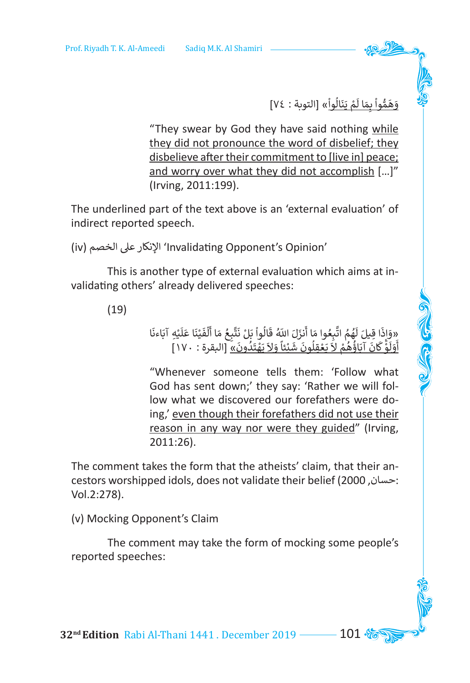وَهَمُّواْ بِمَا لَمْ يَنَالُواْ» [التوبة : ٧٤] َ ֦֧֦֧֦֧֦֧֦֧֦֧֦֧֦֧֦֧֧֜֓<u>֚</u> َ َْ ََُّ

"They swear by God they have said nothing while they did not pronounce the word of disbelief; they disbelieve after their commitment to [live in] peace; and worry over what they did not accomplish […]" (Irving, 2011:199).

The underlined part of the text above is an 'external evaluation' of indirect reported speech.

(iv) الخصم عىل اإلنكار' Invalidating Opponent's Opinion'

This is another type of external evaluation which aims at invalidating others' already delivered speeches:

(19)

«وَاذَا قِيلَ لَهُمُ اتَّبِعُوا مَا أَنزَلَ اللّهُ قَالُواْ بَلْ نَتَّبِعُ مَا أَلْفَيْنَا عَلَيْهِ آبَاءنَا<br>أَرَفَقُتُ مَرْكَبُهُ مُواجَهَهُ لَهُ عَنْ نَوْفَةً بِإِذْ اللّهُ اللّهُ عَلَيْهِ اللّهَ عَلَيْهِ آبَاءنَا ֦֧<u>֝</u> ً<br>آ **ृ** َ ֧֧֦֧֦֧֦֧֦֧֦֧֦֧֧֦֧֦֧֦ׅ֦֜֜֓֜֜֜֜֜֜֜֜֜֜֜֜֞֜֜֜ َ ََّ َ ֧֦֧֦ َََ َُ֘֝֝֝ و<br>ا َ َ إ َ ֖֪֚֚֚֚֚֚֚֚֚֚֚֚֚֚֚֚֚֚֞֝֝֝֝**֚** «وادا قِين نهم البِنوا لله الرام الله فانوا بن نتيج لله القينا عنيد<br>وَلَوْ كَانَ آبَاؤُهُمْ لاَ يَعْقِلُونَ شَيْئاً وَلاَ يَهْتَدُونَ» [البقرة : ١٧٠] ا المسلمان المسلمان المسلمان المسلمان المسلمان المسلمان المسلمان المسلمان المسلمان المسلمان المسلمان المسلمان <br>المسلمان المسلمان المسلمان المسلمان المسلمان المسلمان المسلمان المسلمان المسلمان المسلمان المسلمان المسلمان ال ََْ ًَََْ َ ֦֧֦֧֦֧֦֧֦֧֦֧֦֧֦֧֧֦֧֧֦֧֜֓֜֓֜**֧** ۔<br>و الا مالك المناسبة المناسبة.<br>أحداث ֺَ֖֖֖֖ׅ֪ׅ֖֪ׅ֖֪ׅ֖֪ׅ֖֚֚֚֚֚֚֚֚֚֚֚֚֚֚֚֚֚֚֚֚֚֚֚֚֚֚֚֚֝֝֟֓֡֓֓֞֡֓֓֞֟֓֡֟֓֡֓֬֓֓֞֝֬֓֓֞֬֝֓֞֝֬֓֝֬֓֞ ֦֧<u>֝</u> ۔<br>آ ֺ֧֦֧֦֧֚<u>֓</u> ا<br>ا أ

"Whenever someone tells them: 'Follow what God has sent down;' they say: 'Rather we will follow what we discovered our forefathers were doing,' even though their forefathers did not use their reason in any way nor were they guided" (Irving, 2011:26).

The comment takes the form that the atheists' claim, that their ancestors worshipped idols, does not validate their belief (2000 ,حسان: Vol.2:278).

(v) Mocking Opponent's Claim

The comment may take the form of mocking some people's reported speeches:

**32<sup>nd</sup> Edition** Rabi Al-Thani 1441 . December 2019 **101 %**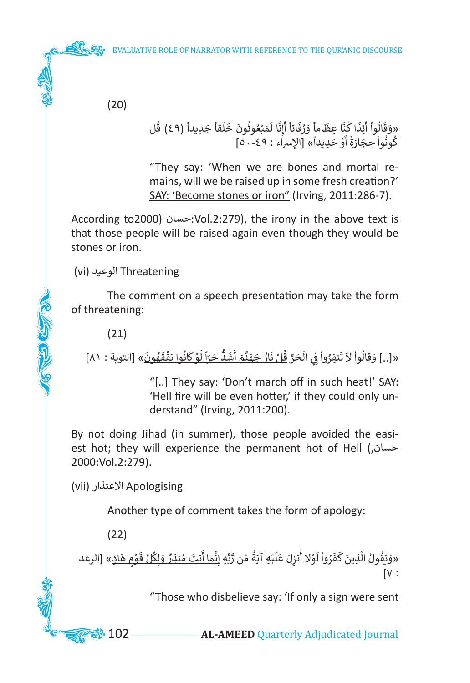(20)

#### «وَقَالُواْ أَئِذَا كُنَّا عِظَاماً وَرُفَاتاً أَإِنَّا لَمَبْعُوثُونَ خَلْقاً جَدِيداً (٤٩) <u>قُل</u><br>كُونُواْ حِجَارَةً أَوْ حَدِيداً» [الإسراء : ٤٩-٥٠] ًَ ֦֧֦֧֦֧֦֧֦֧֦֧֦֧֦֧֧֦֧֧֦֧֦֧֜֓֜֓<br>֧ׅ֖֚֜֜֜֕֜֕֟ َ ًَُ<br>أ إ َ ََََُّ ََ ֺׅ֦֝֓֕֓֕֓֡֡֟ ََ ֦֧֦֧֦֧<u>֚</u> ِ<br>أ أ ً ֖֖֖֚֚֚֝֝֝֝֝֝֝**֟** ْ ُ

"They say: 'When we are bones and mortal remains, will we be raised up in some fresh creation?' SAY: 'Become stones or iron" (Irving, 2011:286-7).

According to2000( حسان:Vol.2:279), the irony in the above text is that those people will be raised again even though they would be stones or iron.

(vi) الوعيد Threatening

The comment on a speech presentation may take the form of threatening:

(21)

Collage of

َ«[..] وَقَالُواْ لاَ تَنفِرُواْ فِي الْحَرِّ <u>قُلْ نَارُ جَهَنَّمَ أَشَدُّ حَرَّاً لَّوْ كَانُوا يَفْقَهُونَ</u>» [التوبة : ٨١] **ٌ** َ ֦֧֦֧֦֧֦֧֦֧֦֧֦֧֦֧֧֜֓<u>֚</u> ََ֦֧<u>֓</u> َّ ً ا ֧֧֦֧֦֧֚֝<u>֓</u> َاو<br>ا ֺَׅ֚֝֬ َ أ ؚ<br>أ ٍَ<br>ٌ ٍَِّْ<br>ٌ ֺ֧֦֧֦֧֦֧֦֧֦֧֦֧֦֧֝ ََ

> "[..] They say: 'Don't march off in such heat!' SAY: 'Hell fire will be even hotter,' if they could only understand" (Irving, 2011:200).

By not doing Jihad (in summer), those people avoided the easiest hot; they will experience the permanent hot of Hell (,حسان 2000:Vol.2:279).

(vii) االعتذار Apologising

Another type of comment takes the form of apology:

(22)

«وَيَقُولُ الَّذِينَ كَفَرُواْ لَوْلا أُنزِلَ عَلَيْهِ آيَةٌ مِّن رَّبِّهِ إِ<u>نَّمَا أَنتَ مُنذِرٌ وَلِكُلِّ قَوْمٍ هَادٍ</u>» [الرعد َ ֦֧֦֧֦֧֦֧֦֧֦֧֦֧֦ َ َِّ ٌَََُّ **∶** ֦֦֦֪֧֦֧֦֚֝֝֝֝֝֝֝֝֝֟֝֟֟֓֟֟֓֟֟֓֟֟֓֟֟֓֟֟֟֓֟֟֝֟֓֟֓֟ **֝** ֦֧֦֧֦֧֦֧֦֧֦֧֦֧֦֧֦֧֦֧֦֧֦֧֦֧֦֧֧֦֧֓֜֓֓ ً<br>آ **ّ** ُ ֦֧<u>֓</u> َ ٍ<br>ٌ ََ َّ ََُ  $[V:$ 

"Those who disbelieve say: 'If only a sign were sent

**33.** 102 **AL-AMEED** Quarterly Adjudicated Journal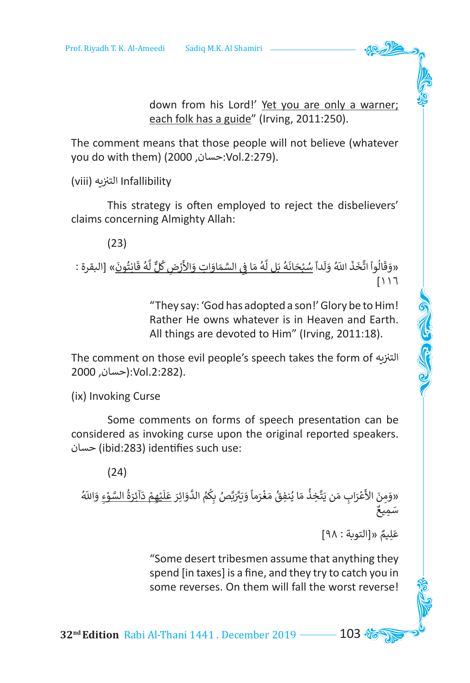down from his Lord!' Yet you are only a warner; each folk has a guide" (Irving, 2011:250).

The comment means that those people will not believe (whatever you do with them) (2000 ,حسان:Vol.2:279).

Infallibility الت� <sup>ن</sup> <sup>ز</sup> يه (viii(

This strategy is often employed to reject the disbelievers' claims concerning Almighty Allah:

(23)

َ«وَقَالُواْ اتَّخَذَ اللّهُ وَلَداً <u>سُبْحَانَهُ بَل لَّهُ مَا فِي السَّمَاوَاتِ وَالأَرْضِ كُلِّ لَّهُ قَانِتُونَ</u>» [البقرة :<br>- دريا َُ۔<br>أ ٌَّْ ֺَ<u>֚֓</u> ََّ់<br>ខេ ُِّ َُ ًََُ َََ $[11]$ 

> "They say: 'God has adopted a son!' Glory be to Him! Rather He owns whatever is in Heaven and Earth. All things are devoted to Him" (Irving, 2011:18).

The comment on those evil people's speech takes the form of التنزيه .(.2:282Vol:(حسان, 2000

(ix) Invoking Curse

Some comments on forms of speech presentation can be considered as invoking curse upon the original reported speakers. حسان) ibid:283) identifies such use:

(24)

«وَمِنَ الأَعْرَابِ مَن يَتَّخِذُ مَا يُنفِقُ مَغْرَماً وَيَتَرَبَّصُ بِكُمُ الدَّوَائِرَ <u>عَلَيْهِمْ ذَآئِرَةُ السَّوْءِ</u> وَاللّهُ<br>سَم، **و**َ ََُّ֦֧֦֧<u>֓</u> ֦֧<u>֝</u> ً<br>آ **∶** ֺَ֧<u>֓</u> َُّ َ َ ֦֧<u>֓</u> َُ ََّ َ ََ֦֧<u>֓</u> َ ِمِيعٌ َ سَ

> عَلِيمٌ «[التوبة : ٩٨] **ّ**

"Some desert tribesmen assume that anything they spend [in taxes] is a fine, and they try to catch you in some reverses. On them will fall the worst reverse!

**32<sup>nd</sup> Edition** Rabi Al-Thani 1441 . December 2019 **103**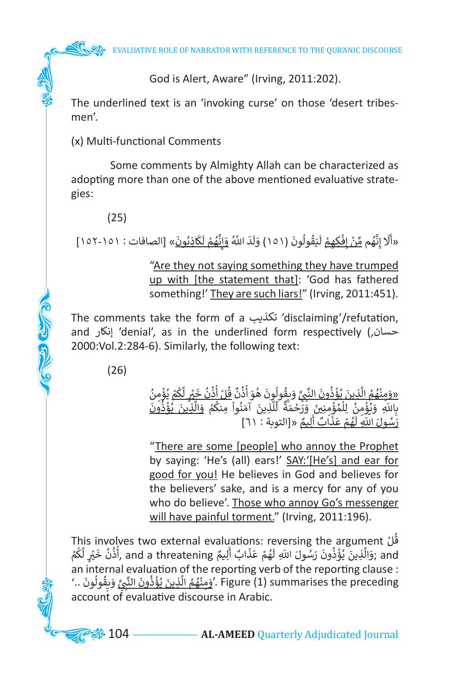God is Alert, Aware" (Irving, 2011:202).

The underlined text is an 'invoking curse' on those 'desert tribesmen'.

(x) Multi-functional Comments

Some comments by Almighty Allah can be characterized as adopting more than one of the above mentioned evaluative strategies:

(25)

َ«أَلَا إِنَّهُم مِّنْ إِفْكِهِمْ لَيَقُولُونَ (١٥١) وَلَدَ اللَّهُ وَإِنَّهُمْ لَكَاذِبُونَ» [الصافات : ١٥١-١٥٢] َ َ ֦֧֦֧<u>֦</u> َُّ ِ إ َ َ َ َُ֚֝<u>֓</u> ً<br>ا ֦֧֦֧֦֦֖֧֝֟֟֓֝֝<u>֖֚֓</u> ֘<u>֝</u> إ **ื** ا<br>ا َّ َ

# "Are they not saying something they have trumped up with [the statement that]: 'God has fathered something!' They are such liars!" (Irving, 2011:451).

The comments take the form of a تكذيب' disclaiming'/refutation, and إنكار' denial', as in the underlined form respectively (,حسان 2000:Vol.2:284-6). Similarly, the following text:

(26)

C C C C

ُ «وَمِنْهُمُ الَّذِينَ يُؤْذُونَ النَّبِيَّ وَبِقُولُونَ هُوَ أُذُنٌ قُلْ أُذ<u>ُنُ خَيْرٍ لَّكُمْ</u> يُؤْمِنُ<br>بِاللّهِ ۖ وَيُؤْمِنُ ۚ لِلْمُؤْمِنِينَ ۖ وَرَحْمَةٌ ۚ لِّلَّذِينَ ۚ آمَنُواْ مِنكُمْ ۖ وَالَّذِينَ يُؤْذُونَ<br>بِالل ֦֧֦֧<u>֓</u> ُ ً<br>أ َ ُُُ ْ أ ٌُُ ֺُُ<u>֚֓</u> َّ َُ֦֧֦֧֦֧֦֧֦֧֦֧ׅ֧֦֧֧֦֧ׅ֧֜֓֓֜֓֜֓֓<u>֚</u> َ۔<br>ا ُا<br>ا ֦֧֧֟֟֓֕<u>֓</u> ا<br>الأولاد ֺ֧֪֧֪֪֪֪֪֧֪֪֦֧֟֟֟֟֟֟֟֟֟֟֟֟֟֟֟֟֟֟֟֟֟֟֟֟֟֟֟֟֟֟֟֟֟ َ֧֦֧֧֦֧֦֧֦֧֦֧֦֧֦֧֦֧֦֧֦֧֦֧֝֝֝֝֟֟֟֟֟֟֟֟֟֟֓֟֓֟֓֟֟֓֟֬֟֓֟֓֟֓֟֓֟֬֟֓֟֓֟֬֓֟֓֟֬֟֓֟֓֟֬֓֟֓֟֓֟֓֟֓֟֓ َ֦֧֦֧֦֧֦֧֦֧֦֧֦֧֦֧֧֝֓֓<u>֚</u> ا<br>المراجع ֧ׅ֧֦֧֦֧֦֧֦֧֦֧֦֧֦֧֦֖֧֦֧֟֟֟֟֟֟֟֟֟֟֟֟֟֟֟֟֓֟֟֓֟֟֓֟֡֟֜֓֟֓֟֓֟֓֟֓֟֓֟֓֟֓ َ $\frac{1}{1}$ ِّ َ֦֧<u>֝</u> ֺ֦֧֧֧֧֧ׅ֧֧֧֪֪֪֪֪֪֪֪֪֪֪֪֪֪֪֪֚֚֚֚֚֚֚֚֚֚֚֚֚֚֚֚֚֚֚֚֚֚֚֚֚֚֚֚֚֚֝֝֝֝֓֝֓֝֓֝֓֜֓֓֝֓֝֓֝֬֝֓֝֝֝ ֧֦֦֚֚֝֝֝֝֝**֝** ن ْ ۔<br>ا ֦֧֦֧֦֧֦֧֦֧֦֧֦֧֦֧֧֧֦֧֦֧֓֓֓֓֓֓<u>֚</u> ֦֧֦֧֦֧֦֧֦֧֦֧֦֧ׅ֧֦֧ׅ֧֦֧֦֧֧֦֧֝֝֜֓֓֜֓֓֬֓֜֓֓֬֜֓֓ َ ֖֧֡֓֓֓֓֓֓<u>֓</u>֚֓ ِ:<br>رَسُولَ اللّهِ لَهُمْ عَذَابٌ أَلِيمٌ «[التوبة : ٦١] ֺׅ ٌ أ ֖֖֖ׅ֖ׅ֖ׅׅׅ֪ׅ֧֧ׅ֧֧֧֧֪ׅ֧֚֚֚֚֚֚֚֚֚֚֚֚֚֚֝֝֝֝֓֝֓֕֓֝֓֓֓֓֞֓֓֓֞֓֬֝֓֞֓֬֝֓֝֓֝֬֓֓֬֝֓֬֝֓֝֬֝֬֝֓֓֬֝֬ َ֦֧֖֓֓֝֓֓֓֓**֓**֖֓ ا<br>ا َ ֧֖֖֧֧֧֧֧֧֦֧֧֪֧֧֪֧֧֧֧֪֪֪֪֪֪֪֪ׅ֧֧֧֧֧֪֪֪֪֪֪֪֪֪֪֪֧֚֚֚֚֚֚֚֚֚֚֚֚֚֚֚֚֚֚֚֚֚֚֚֚֝֝֝֓֝֟֓֝֬֝֓֞֝֬֝֬֝֓֝֬֝֬֝֬֝֬֝֓֝֬֓֝֬֝֬֝֬֝֬֝ **ृ** ُ

"There are some [people] who annoy the Prophet by saying: 'He's (all) ears!' SAY:'[He's] and ear for good for you! He believes in God and believes for the believers' sake, and is a mercy for any of you who do believe'. Those who annoy Go's messenger will have painful torment." (Irving, 2011:196).

This involves two external evaluations: reversing the argument ْ ُل َقْلْ This involves two external evaluations: reversing the argument<br>زَوَالَّذِينَ يُؤْذُونَ رَسُولَ اللّهِ لَهُمْ عَذَابٌ أَلِيمٌ and a threatening ,أَذُنُ خَيْرٍ لَّكُمْ ا<br>ا َّ َ الا<br>وفيات ُ ֦֦ׅ֦֦֦֦֦֦֧֦֧֦֧֦֦֦֧֧֦֧֧֦֧֦֧֦֧֦֧֦֧֚֚֚֚֚֚֚֚֚֚֚֚֚֚֬֡֓֡֓֡֬֓֡֬֘֘֓֡֬֝֬֓֡֓֡֬֓֓֡֬֓֡֬֓֡֬֓֞֓֓֬֓֓֬֓֓ ََا<br>ا ֺ֖֖֧֧֧֧֦֖֧֦֧֪֪֪֦֪֪֪֪֪֪֪֪֪֚֚֚֚֚֚֚֚֚֚֚֚֚֚֚֚֚֚֚֚֚֚֚֚֚֚֚֚֚֚֝֓֝֓֝֓֝֓֝֓֞֟֓֡֓֬֝֓֞֝֬֝֬֝֝֝ ֖֖֖֧֪֪֪ׅ֪֪֖֪֪֖֚֚֚֚֚֚֚֚֚֚֚֚֚֚֚֚֚֚֚֚֚֚֚֚֡֬֝֓֟֓֡֟֓֡֬֓֝֬֝֓֝֬֝֓֝֬֓֝֬֝֬֝֬֝֓֝֬֝֓֝֬֝֬֝֬֝֓֝֬֝֬֝֝֬֝֝֬ ا<br>ا ُا<br>ئا َّ َan internal evaluation of the reporting verb of the reporting clause : an internal evaluation or the reporting verb or the reporting clause .<br>'وَهِنْهُمُ الَّذِينَ يُؤْذُونَ النَّبِيَّ وَبِقُولُونَ ..' Figure (1) summarises the preceding ا<br>وفيات َ َّ َا<br>وُ ֦֧֪֦֧֦֧֦֧֦֧֦֧֦֧֦֧֦֧֦֧֦֧֧֦֧֦֧֟֟֟֟֟֟֟֟֟֟֟֟֟֟֟֟֟֟֟֟֟֟֟֟֟֟֟֟֟֕֝֟֓֝֬ ֺ֚֚֚֚֚֚֚֚֚֚֚֚֚֚֚ ֦֧֦֧֦֦֦֧֦֧֦֦֧֦֧֦֧֦֧֦֦֧֦֧֦֧֦֧֦֧֦֧֦֧֦֧֦֧֦֧֦֧֦֧֦֧֦֧֝֝֝֝֝֟֟֟֟֟֬֟֓֝֬֟֓֝֬֝֬֟֓֝֬֟֓֝֬֟֓֟֟֓֟֓֬֟֓֟֓֬֝֬֝֬ ٌُّ وُ ֖֖֖֖֖֖֖֖֖֖֧֚֚֚֚֚֚֚֚֚֚֚֚֚֚֚֚֚<u>֓</u> account of evaluative discourse in Arabic.

**88.** 104 —————————— AL-AMEED Quarterly Adjudicated Journal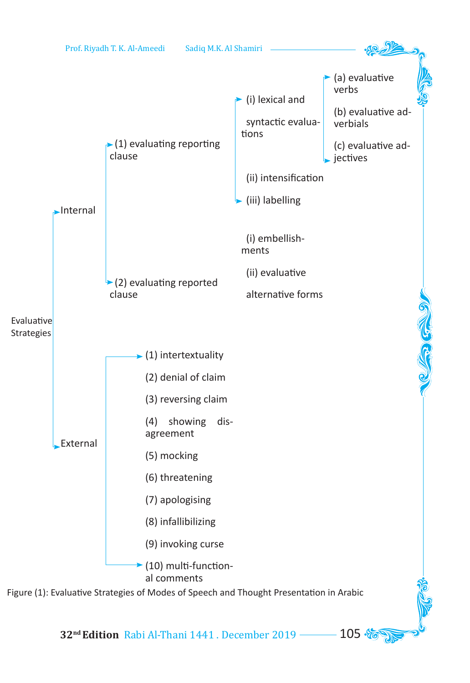

**32<sup>nd</sup> Edition** Rabi Al-Thani 1441 . December 2019 ––––– 105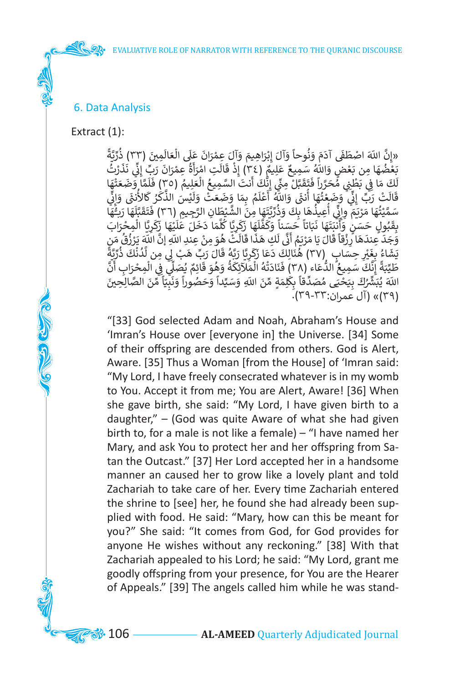#### 6. Data Analysis

Extract (1):

CON CONTROL

֧֦֧֦֧֦֧֝֬<u>֚֓</u>֚֓ «إِنَّ اللّهَ اصْطَفَى آدَمَ وَنُوحاً وَآلَ إِبْرَاهِيمَ وَآلَ عِمْرَانَ عَلَى الْعَالَمِينَ (٣٣) ذُرِّيَّةً<br>تَعْذُبَهَا مِن يَعْضِ وَاللّهُ سَمِيعٌ عَليهٌ (٣٤١) إِذْ قَالَ لِي اجْزَأَةُ عِمْرَانَ يَبِّي اذًّ ذَاَ نُبِّ ِّ ُ َن ً<br>أ َ֧֦֧֦֧֦֧֦֧֦֧֦֧֦֧֧֦֧֧֦֧֦֧֜֜֓֜<br>֧ׅ֛֜֜֜֜֜֜֜֜֜֓֜֜ ֺ֧֦֧֦֧֦֧֦֧֦֧ׅ֧֚֝֝֜֓֓<u>֚</u> ؚ<br>ا ֦֧֦֧֦֧֦֧<u>֚֓</u> **ृ** ؚ<br>ا ֺ֧֦֧֦֧֚<u>֓</u> ََ֦֧<u>֝</u> ْر ان الله السلسلي التي وقوت وان إبراهيم وان عسران على التحقيقي (٣٠) درية<br>بَعْضُهَا مِن بَعْضٍ وَاللّهُ سَمِيعٌ عَلِيمٌ (٣٤) إِذْ قَالَتِ امْرَأَةُ عِمْرَانَ رَبِّ إِنِّي نَذَرْتُ<br>أَيَمَ مَسْرًا وَعَلَيْهِ الْمَوْتَ اللّهُ َ َ ِّ ن ۛ<br>ّ َ֦֧֦֧֦֧֝<u>֚֓</u> ٌّ<br>أ َ أ ؚ<br>ا ់<br>វ ै<br>। ٌََ ֺ֧֖֖֖֚֚֚֚֚֚֚֝֝֝֝֝֝֝֓֕<u>֚</u> َ֦֧<u>֝</u> َا<br>والمعالم ֧֧֖֖֖֖֖֖֖֧֚֚֚֚֚֚֚֘֟֓֝֬<u>ׅ</u> ِ<br>ا بعضها مِنْ بَعْضٍ وَاللّهُ سَمِيعٌ عَلِيمٌ (٢٠) إِذْ قَالَتِ امْرَاهُ عِمْرَانَ رَبِّ إِنِّي نَدْرَت<br>لَكَ مَا فِي بَطْنِي مُحَرَّراً فَتَقَبَّلْ مِنِّي إِنَّكَ أَنتَ السَّمِيعُ الْعَلِيمُ (٣٥) فَلَمَّا وَضَعَتْهَا ֧<u>֓</u>֖֚֓ ֺَ<u>֓</u> َََّ َ ُ֖֖֚֚֚֚֚֚֝֝֝֝֝֝**֖** ْ َّ **ٔ** َ َ َ ََّالمستقبل المستقبل المستقبل المستقبل المستقبل المستقبل المستقبل المستقبل المستقبل المستقبل المستقبل المستقبل ال َي ֧֖֖֪֪֪ׅ֧֧֖֧֖ׅ֧֖֧֖֪֖֧֖֖֧֝֟֟֟֟֟֟֟֟֟֟֟֟֟֟֟֟֟֟֟֟֟֟֟֟֟֝֟֟֬֟֩֟֓֟֓֟֬֟֩֕֓֝֬֝֬֝֬֓֝֬֝֬֝֬֝֟֝֬֝֬֝֬ ن نت ما ي بطيي محررا فعقبن مبي إنت أنت السفيني العبيم (١٠) فقد وطعتها<br>قَالَتْ رَبِّ إِنِّي وَضَغْتُهَا أُنْثَى وَاللّهُ أَعْلَمُ بِمَا وَضَعَتْ وَلَيْسَ الذَّكَرُ كَالأُنثَى وَإِنِ<br>عَالَمُ النَّامَ الْقَالَ اللَّهُ أَعَلَى إ َ ُ َ֧֖֚֚֝֝֝<u>֓</u> ֖֦֧֦֧֦֘֝֝֡ َ ֺ֧֦֧֦֧֚<u>֓</u> ֺََ֧֦֧֦֧֚<u>֓</u> َ֡֬֓֓֓֓֓֓֓֓֓֓֓֓֓֓֓֓֓֓ ֦֧֦֧֦֧֝<u>֖֚֓</u> ا<br>أ ََُ.<br>په د ֦֧<u>֝</u> ֺ֖֪֪֪֦֚֚֚֚֚֚֚֚֚֚֚֚֚֚֚֚֝֝֓֡֓֝֝֓֬֝֬֝֓֬֝֓֬֝֓֓֬֝֓֓֓֬ َِّ ن ֺَ֚֝ ٙ سَمَّيْتُهَا مَرْيَمَ وِإِنِّي أُعِيذُهَا بِكَ وَذُرِّيَّتَهَا مِنَ الشَّيْطَانِ الرَّجِيمِ (٣٦) فَتَقَبَّلَهَا رَبِّهَا<br>سَمَّيْتُهَا مَرْيَمَ وِإِنِّي أُعِيذُهَا بِكَ وَذُرِّيَّتَهَا مِنَ الشَّيْطَانِ الرَّجِيمِ (٣٦) فَت ُِّ<br>ا ًَ<br>آ َّ َ َ َ َّ ֖֖֖֪֦֪֪ׅ֪֪֪֪֪֪֚֚֚֚֚֚֚֚֚֚֚֚֚֚֚֚֚֚֚֚֚֚֚֚֝֝֝֓֓֞֟֓֡֓֓֞֝֬֝֓֞֝֬֓֓֞֝֬֓֓֞֝֬֝֓֞֝֬֝֓֞֝֬֝֓֞֝֝֝ י<br>: ֺَ֧֦֧֚֚֝<u>֚</u> َّ **֝** ا<br>ا ََ់<br>ព្រ ُ ֦֧<u>֓</u> ن ់<br>៖ ֖֖֖֪֪֪֪֖֪ׅ֛֪֪֪֛֪֪֪֪֪֪֪֪֪֪֪֪֪֪֪֪֪֪֚֚֚֚֚֚֚֚֚֚֚֚֚֚֚֚֝֝֝֝֝֝֝֝֝֝֬֝֬֝֬֝֓֝֬֓֓֝֓֝֬֝֓֝֝֝ َ∫<br>∶ َؚّ<br>ا َسَمَّيْتَهَا مَرْبِيَا وَإِي الْفِيْتَاهَا بِّكَ وَدَرْبِيهَا بِنَّ الْمُسْيَضَانِ الرَّجِيبِ (١٠/ مَتَعَبِّبَه<br>بِقَبُولٍ حَسَنٍ وَأَنْبَتَهَا نَبَاتاً حَسَناً وَكَفَّلَهَا زَكَرِيَّا كُلَّمَا دَخَلَ عَلَيْهَا زَكَرِيًّا ֦֧֧֟֟֓<u>֓</u> ْ َ ֧֦֧֦֧֚֝<u>֚֓</u> ؚ<br>أ ֖֚֡֝֟֝֟֝֝֝**֚** َ ا<br>أ ََََّ ا مار<br>المراجع ֦֧֦֦֖֚֚֚֚֚֚֚֚֚֚֚֚֚֝֝֝֝֝֝֝֝֝֝**֚** ا<br>أ ؚ<br>ا ً<br>ا ֧֧֧֧֧֧֧֧֧֧֛֧֦֧֛֪֦֚֝֝֟֓֝֬֟֓֟֓֝֬֟֓֟֓֟֓֟֓֟֓֟֓֟֓֝֬֟֓֟֓֝֬֟֓֟֓֟֓֝֬֜֓֟ َ **∶** ََ ٍ<br>ا َ ֖֖֪֛֪֪֪֪֪֪֪֦֪֪֪֪֪֪֪֪֪֪֪֚֚֚֚֚֚֚֚֚֚֚֚֚֚֚֚֝֝֝֝֝֝֝֝֝֝֝֝֝֟֓֟֓֟֓֟֓֟֓֟֓֝֓֝֟֝֝֝֝֟֝֝֝֝֝֝֝֝֝֝֝ ا<br>أ أ َ َََُ َبِعبوبِ حسنِ واببِيها بِّبَادَ حَسْنَةً وَرَبِيها مِنْ وَالْمَدِينَ مِنْ عَندِ اللّهِ إِنَّ اللّهَ يَرْزُقُ مَن<br>وَجَدَ عِندَهَا رِزْقاً قَالَ يَا مَرْيَمُ أَنَّى لَكِ هَذَا قَالَتْ هُوَ مِنْ عِندِ اللّهِ إِنَّ اللّهَ يَرْ ֦֧֦֧֦֧<u>֓</u> ّ ֧<u>֓</u> َ ۔<br>و َ֧֪֪֦֪֦֪֪֦֪֦֧֝֟֟֓֝֟֟֟֟֟֓֟֓֟֓֟֓֕֓֟֓֝֬֓֟֓֟֓֟֓֟֓֓֟ ًَ<br>أ ن ا<br>أ ់<br>( َ֦֧֧֪֛֧֧֧֧֧֪ׅ֧֪ׅ֧֪ׅ֧֝֟֟֓֝֬֟֓֝֬֝֓֝֬֝֓֬֝֓֬֝֬֝֓֬֝֓֬֝֓֬֝֓֬֝֓֟֓֬֓֟֓֬֬֓֓֟֓֟֓֟֓֬֬֓֬֓֓֓֬֬֓֓֬֝֬ ֺَ֖֖֖֪ׅ֚֚֚֚֚֚֚֚֚֚֚֚֚֝֡֟֓֡֟֓֡֡֡֡֓֡֟֓֡֟֓֡֡֟֓֞֟֓֡֡֟ ֺ֖֖֖֖֖֧֪֪֪֪֦֧֪֪֪֪֚֚֚֚֚֚֚֚֚֚֚֚֚֚֚֚֚֚֚֚֚֚֚֚֚֝֓֞֟֓֡֓֝֓֞֟֓֡֟֓֞֟֓֞֓֓֝֬֝֓֞֬֝֓֞֝֬֝֓֞֬֝֓֞֝֬֝֓֞֝֬֝֓֞֝֬֝֬ َ֦֧֦֖֚֚֚֚֚֚֚֝֝֝֝֝֓֝֬֝֓֝֬֝֓**֓** وَجِبْ عِنْدَهِ رِينَ عَنْ يَا مِرْيِمْ فِي كُلِّ مَعْدَ قَاتِ مِنْ عَلَى مِنْ أَمَدٍ إِنْ أَمَدَ يُرْرِي مَنِ<br>يَشَاءُ بِغَيْرِ حِسَابٍ (٣٧) هُنَالِكَ دَعَا زَكَرِيًّا رَبَّهُ قَالَ رَبِّ هَبْ لِي مِن لَّذُنْكَ ذُرِّبَةً<br> **ٍ** ُ ِ<br>وُ ً<br>֖֧֦֧֧֦֦֪ׅ֦֚֞֝֝֬֟֓֟֓֟֓֟֓֟֓֟֓֟֓֟֬֓֟֓֟֓֟֓֟֓֟֓֟֓֟֓֟֬֟֓֟֓֟֓֟֬֟֓֟֓֟֓֟֬֟֓֟֓֟֓֟֓֟֓֟֓֟֟֟ ََِ<br>ا ֖֖֚֚֚֚֚֚֚֚֚֚֚֚֚֚֝֝֝֝֝֝֝֝֬֝֬֝֬֝֬֝֓֝֬֝֬֝֓֬֝֓֬֝֓֬֝֬֝֬֝֓֬֝֓֬֝֓֬֝֬ َ َ֖֖֪֪֪֪֪֪֦֪֪֪֦֪֪֪֦֪֪֪֪֪֪֪֪֪֪֪֪֪֪֪֪֪֪֪֪֪֪֪֪֚֚֚֚֚֚֚֚֚֚֚֚֚֚֚֚֚֚֚֚֝֝֝֝֓֝֝֝֝֝֓֟֓֡֬֟֓֡֝֓֞֬֝֓ ۔<br>وفات ََ ֦֧֦֦֦֦֦֦֦֦֦֦֦֦֚֝֝֝֝֝֝֝֬֝֝֝֬֝֝֝֝֟֓֟֓֡֟֓֟֓֡֟֓֡֬ يست بعيرِ حِسَابِ (٢٠) سَنَّيْتَ تَتَّ رَبِّ وَنَ رَبِّ عَنْ رَبِّ سَبِّ فِي الْمِحْرَابِ أَنَّ<br>طَيِّبَةً إِنَّكَ سَمِيعُ الدُّعَاء (٣٨) فَنَادَتْهُ الْمَلَاّئِكَةُ وَهُوَ قَائِمٌ يُصَلِّي فِي الْمِحْرَابِ أ<br>اللّهَ ذُرَّة َ ؚ<br>ا ֧֧֟֓<u>֓</u>֚֓ ֦֧֧֝֝֝<u>֦֖</u> ؚ<br>أ ؚ<br>; ֦֧֦֦֪֦֚֚֚֝֝֝֝֝֝֝֝֝֝֝֝**֟** ُ<br>و ََ ֺ֖֖֖֖֧֧֧ׅ֖֧֧֧֧֧֪ׅ֖֧֧ׅ֧֧ׅ֧֧֚֚֚֚֚֚֚֚֚֚֚֚֚֚֚֚֚֝֝֝֝֝֝֝֝֝֝֝֟֓֟֓֟֓֟֓֝֟֓֟֓֝֬֜֝֓֞֟֓֝֬֝֓֞֝֬֝֝֬֝֬֝֬֝֝֬֝ י<br>ו ֦֧<u>֓</u> َ َ ֺ֖֖֖֖֖֖֖֪ׅ֖ׅ֖֚֚֚֚֚֚֚֚֚֚֚֚֝֝֝֟֓֟֓֡֝֬֝֬֝֟֓֟֓֡֟֓֟֓֡֟֓֟֓֡֟֓֞֟֓֡֟֓֓֞֟֓֞֟֓֞֟֓֞֬֓֝֬֝֬֝֓֞֓֞֝֝ ُّ֖֖֖֪֚֚֚֚֚֚֚֚֚֚֚֝֝֝֝֝֝֝֝֝֝֝֟֝**֝** َن َ حيب إِمَّـ مَسْمِيع النَّصَاء (١٠٨) كَادَاء النَّار وَسَيِّداً وَحَصُوراً وَنَبِيَّاً مِّنَ الصَّالِحِينَ<br>اللَّهَ يُبَشِّرُكَ بِيَحْيَى مُصَدِّقاً بِكَلِمَةٍ مِّنَ اللَّهِ وَسَيِّداً وَحَصُوراً وَنَبِيَّاً مِّنَ الصَّال ֖֝֝֝֝֝**֝** ِّ֪֖֪ׅ֪֪ׅ֪ׅ֪֪ׅ֖֪ׅ֚֚֚֚֚֚֚֚֚֚֚֚֚֚֚֚֚֚֚֚֚֡֡֡֡֡֡֡֡֝֓֡֡֓֞֡֡֡֡֬֓֞֞֡֡֓֞֞֞֓ َ َ .<br>ء َ֖֖֖֖֖֚֚֚֚֚֚֚֝֝֬֝֓֝֓֝֓֝֓֝֓**֓** ֺ<u>֓</u> ֖֦֖֖֚֚֚֚֝֝֝֝֝֝֝֝֝֝֝֝**֟** ֖֖֖֖֖֧֧֪ׅ֧֪֖֖֪֪ׅ֧֪ׅ֖֚֚֚֚֚֚֚֚֚֚֚֚֚֚֚֚֚֚֚֚֚֚֡֝֟֓֡֟֓֝֬֝֓֝֬֝֓֝֬֝֓֝֬֓֓֝֬֝֓֝֬֝֓֝֓֝֬֓֝֬֝֬֝֬֝֝֬ َِّ ا<br>أ ً<br>آ **ื้ ∶** ُ֖֖֖֧֪֪֧֧֪֪֪֪ׅ֚֚֚֚֚֚֚֚֚֚֚֚֚֚֚֚֚֚֚֚֚֚֚֚֝֝֝֝֝֟֓֝֬֝֓֝֓֝֟֓֝֬֝֓֓ ُِّْ )39(« )آل عمران39-33:(.

"[33] God selected Adam and Noah, Abraham's House and 'Imran's House over [everyone in] the Universe. [34] Some of their offspring are descended from others. God is Alert, Aware. [35] Thus a Woman [from the House] of 'Imran said: "My Lord, I have freely consecrated whatever is in my womb to You. Accept it from me; You are Alert, Aware! [36] When she gave birth, she said: "My Lord, I have given birth to a daughter," – (God was quite Aware of what she had given birth to, for a male is not like a female) – "I have named her Mary, and ask You to protect her and her offspring from Satan the Outcast." [37] Her Lord accepted her in a handsome manner an caused her to grow like a lovely plant and told Zachariah to take care of her. Every time Zachariah entered the shrine to [see] her, he found she had already been supplied with food. He said: "Mary, how can this be meant for you?" She said: "It comes from God, for God provides for anyone He wishes without any reckoning." [38] With that Zachariah appealed to his Lord; he said: "My Lord, grant me goodly offspring from your presence, for You are the Hearer of Appeals." [39] The angels called him while he was stand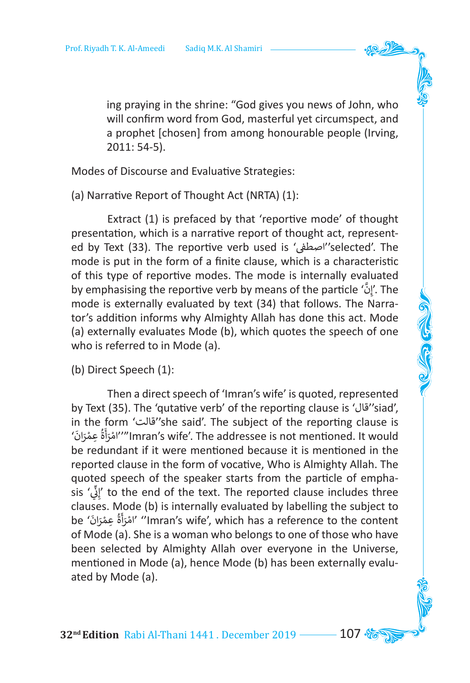ing praying in the shrine: "God gives you news of John, who will confirm word from God, masterful yet circumspect, and a prophet [chosen] from among honourable people (Irving, 2011: 54-5).

Modes of Discourse and Evaluative Strategies:

(a) Narrative Report of Thought Act (NRTA) (1):

Extract (1) is prefaced by that 'reportive mode' of thought presentation, which is a narrative report of thought act, represented by Text (33). The reportive verb used is ' ف� اصط''selected'. The mode is put in the form of a finite clause, which is a characteristic of this type of reportive modes. The mode is internally evaluated by emphasising the reportive verb by means of the particle ' إِنَّ The mode is externally evaluated by text (34) that follows. The Narrator's addition informs why Almighty Allah has done this act. Mode (a) externally evaluates Mode (b), which quotes the speech of one who is referred to in Mode (a).

(b) Direct Speech (1):

Then a direct speech of 'Imran's wife' is quoted, represented by Text (35). The 'qutative verb' of the reporting clause is 'قال''siad', in the form 'قالت''she said'. The subject of the reporting clause is ' ان ْر ِ عم ة رام"''Imran's wife'. The addressee is not mentioned. It would َ ؚ<br>ا ُ ֖֧ׅׅׅׅׅׅ֧ׅ֧֧֚֚֚֚֚֚֚֚֚֚֚֚֚֚֚֚֚֚֚֚֚֚֚֚֚֚֚֚֡֡֓֡֬֓֡֬֓֡֬֓֡֬֓֓֝֬֓֝֬ أ ؚ<br>ا ֦֧֦֧֦֧֦֧֦֧֦֧֦֧֦֧֧֦֧֧ׅ֧֦֧֧֧֦֧֧֧֦֧֜֓֜֜֓֜֜֜֬֜֜֜֬ be redundant if it were mentioned because it is mentioned in the reported clause in the form of vocative, Who is Almighty Allah. The quoted speech of the speaker starts from the particle of emphasis ' إِنِّي' to the end of the text. The reported clause includes three ِّ ن clauses. Mode (b) is internally evaluated by labelling the subject to be ' َ ان ر ِ عم ة ر ام'' 'Imran's wife', which has a reference to the content ؚ<br>ا ់<br>ខ ا<br>ا ֦֧֦֦֦֦֦֦֦֦֦֧֚֚֚֚֚֚֚֚֚֚֚֚֚֬֡֓֡֓֡֬֓֡֬֓֡֬֓֓֡֬֓֓֡֬֓֓֬֓֓֡֬֓֓֡֬֓֓֬֓֡֬֓֓֬֓֡֬֬֬֓֓֬֓֬֓֓֬֬֓֬֓֞֬֓֬֓֬֓֬֓֬ أ ِ<br>آ ់<br>៖ of Mode (a). She is a woman who belongs to one of those who have been selected by Almighty Allah over everyone in the Universe, mentioned in Mode (a), hence Mode (b) has been externally evaluated by Mode (a).

**32<sup>nd</sup> Edition** Rabi Al-Thani 1441 . December 2019 ––––– 107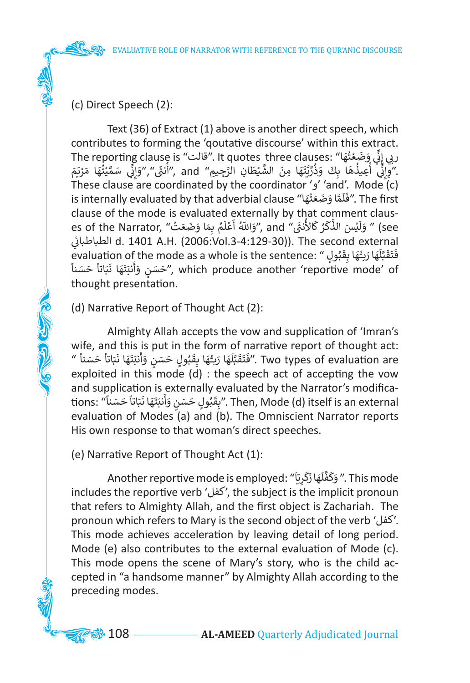(c) Direct Speech (2):

**COLORADO** 

Text (36) of Extract (1) above is another direct speech, which contributes to forming the 'qoutative discourse' within this extract. رِبِي إِنِّي وَضَعْتُهَا" .It quotes three clauses ."قَالت" The reporting clause is<br>"وَادَّ يَأْعِيذُهَا بِكَ وَذُدِّيَّتَهَا مِنَ الشَّيْطَانِ التَّحِيمِ" and "أَنفَ" "وَادَّ سَمَّتْتُهَا مَرْ ֺ֖֖֖֪֪֪֪֪֪֚֚֚֚֚֚֚֚֚֚֚֚֚֚֚֚֚֚֚֚֚֚֝֝֝֝֝֟֓֟֓֟֓֟֓֟֓֟֓֡֟֓֟֓֡֟֝֝ ُ ֦֧֦֧<u>֓</u> ֺَ֦֦֦֦֖֪֦֧֧֖֧֖֚֚֚֚֝֝֝֝֝֝֝֝֟֓֟֓֝֬֝֝֬֝֝֬֝֝֟֟֓֟֓֟֓֟֓֝֬֝֓֟֓֬֝֓֞֟֓֝֬֝֓֞֟֓֝֬֝֓֝֓֝֬֝֓֞֝֝֬֝֝ ِّ ن ربي على رحمت المنافس والمنافس والمنافس والمنافس والمنافس والمنافس والمنافس والمنافس والمنافس بالمنافس والمنافس<br>يُرُوائِي أُعِيذُهَا بِكَ وَذُرِّيَّتَهَا مِنَ الشَّيْطَانِ الرَّجِيمِ" and "أُنثَى" "وَإِنِّي سَمَّيْتُهَا مَ ់<br>( َ.<br>أ ا<br>الأمريكي ֺَّ<u>֓</u> ֧֧֖֖֖֧֧֧ׅ֧֧֧֧֧֧֧֧֧֧֪ׅ֧֚֚֚֚֚֚֚֚֚֚֚֚֚֚֚֚֚֚֚֚֚֝֝֝֟֓֞֟֓֞֟֓֞֟֓֞֟֓֡֟֓֞֟֓֞֟֓֞֬֝֬֝֬֓֝֬֝֬֝֬֝֬֝֬֝֬֝֬֝֬֝֬ ن إ ֺ<u>֚֓</u> َالمنابع المنابع المنابع المنابع المنابع المنابع المنابع المنابع المنابع المنابع المنابع المنابع المنابع المناب<br>المنابع َّ ֦֧<u>֓</u> َََّ َّ ِّ ا<br>وفات ֖֖֚֚֚֚֚֚֚֚֚֚֚֚֚֚֚֝֝֝֝֝֝֝֝֝֝֝**֟** َا<br>وفات ا<br>أم  $\frac{1}{2}$ :<br>: These clause are coordinated by the coordinator ' $\frac{1}{2}$ ' and'. Mode (c) is internally evaluated by that adverbial clause "اَ فَلَمَّا وَضَعَتْهَا ". The first َ ֦֧<u>֓</u> ََََّا<br>آ َ clause of the mode is evaluated externally by that comment clauses of the Narrator, "وَاللّهُ أَعْلَمُ بِمَا وَضَعَتْ" (see es of the Narrator, "وَاللّهُ أَعْلَمُ بِمَا وَضَعَت ֺََ֦֦֪֪֦֧֧֧֧֦֧֧֪ׅ֛֖֖֚֚֚֝֝֝֝֬֝֬֝֓֝֬֝֓֝֬֝֬֝֬֝֓֬֝֓֟֟֓֬֝֓֟֓֟֓֟֓֓֝֬֝֓֓֬֝֓֝֓֝֬֝֓֝֬֓֓֝֓֝֬֝֓֬֝֓ َٔ ֦֧<u>֝</u> ֺ֧֦֖֖֖֖֦֧֧֧֧֧֧֪ׅ֧֧֧֧֧֧֧ׅ֧֧֚֚֚֚֚֚֝֝֬֝֓֝֬֓֝֬֝֓֬֝֓֬֝֓֬֝֬֓֝֬֓֝֬֓֓֬֓֝֬֓֝֬֓֝֬֓֝֬֓֓֬֬֓֓֬֓֬֓֝֬֓֝֬֓֝֬ َ֖֖֖֪֦֪֪֦֧֪ׅ֛֛֖֛֖֛֪ׅ֪֪ׅ֖֛֪֪ׅ֛֛֪֛֚֚֚֚֝֬֝֬֝֬֝֓֝֬֓֝֬֝֓֟֝֬֝֓֬֝֬֝֓֟֓֝֬֓֓֝֓֬֝֬֓֝֓֓֓֝֬֝֓֬֝֬֝֓֝֓֝ ََُ ֖ׅ֦֧֦֧ׅ֧֦֧֪֦֧ׅ֦֧ׅׅ֧ׅ֧ׅ֧ׅ֧ׅ֧֪ׅ֧֪ׅ֧֪ׅ֧֚֚֚֚֚֚֚֚֚֚֚֚֚֚֚֘֝֝֓֝֬֝֬֜֓֝֬֝֟֜֓֜֝֬֓֜֝֬֝֬֜֜֝֬֝֬֝֬ ً<br>ا َ ي ئ �الطباطبا d. 1401 A.H. (2006:Vol.3-4:129-30)). The second external evaluation of the mode as a whole is the sentence: "وَقَقَبَّلَهَا رَبُّهَا بِقَبُولٍ "<br>أَمَدَ مِنْ الْبَوَّةَ الْمَرْدَ "إِنَّ الْبَوَّةَ الْمَرْدَ" "إِنَّا الْمَرْدَ الْبَوَّةَ الْمَرْدَةَ" وَأَنَ ֖֦֧֦֦֦֦֦֦֖֦֦֖֦֦֦֖֦֖֦֖֦֖֦֦֖֦֖֖֖֧֖֦֧֦֧֦֧֦֧֦֧֚֚֚֚֚֚֚֚֬֝֝֝֝֝֝֬֝֝֓֞֝֓֞֟֓֡֞֟֓֞֡֓֝֓֞֞֝֬ ٍ<br>ا َُّ֪֦֚֚֚֚֝֝֝֝֓֟֡֝֬֝֓֟֓֟֓֟֓֟֓֟֓֟֓֟֓֟֓֟֓֟֓֟֓֟֓֟֓֟֓֡֟ ا<br>آ َّ ֖֖ׅ֧ׅׅ֪֪ׅ֦֖֧֚֚֚֚֚֚֚֚֚֚֚֚֚֚֚֚֚֚֚֚֚֚֚֚֚֚֚֚֬֝֕֓֓֡֝֬֝֓֕֓֕֓֕֓֞֡֝ َ َ َتَسْتَبَلُّهُ رَبِيْهِ بِعِبْوِنٍ ``` which is the sentence. `` تَحْسَنُ وَأَنْبَتَهَا نَبَاتاً حَسَناً<br>which produce another 'reportive mode' of '`` خَسَنٍ وَأَنْبَتَهَا نَبَاتاً حَسَناً ََ ََ ֺ֖֖֖֖֖֖֖֖֖֖֖֖֖֖֚֚֚֚֚֚֚֚֚֚֚֝֬֓֓֓֓֓֞֟֓֓֞֟֓֓֞֟֓֡֟֓֡֟֓֡֟֓֓֞֓֞֓֞֓֞֞֓֞֓֞ َ أ َ ََthought presentation.

(d) Narrative Report of Thought Act (2):

Almighty Allah accepts the vow and supplication of 'Imran's wife, and this is put in the form of narrative report of thought act: whe, and this is put in the form of harrative report of thought act.<br>"فَتَقَبَّلَهَا رَبُّهَا بِقَبُولٍ حَسَنٍ وَأَنبَتَهَا نَبَاتاً حَسَناً ". Two types of evaluation are ֺ<u>֓</u> ََ ֦֧֦֧֪֖֖֖֪֪֪֪֦֪֪֪֪֦֪֪֦֪֪֪֦֧֚֚֚֚֚֚֝֝֝֝֓֓֝֓֓֝֓֝֓֝֟֓֝֬֝֓֝֓֟֓֟֓֓ َ ֖֧֦֪֪֪֦֚֚֚֚֚֚֚֚֝֝֝֝֝֝֝֓֕֓֟֓֟֓֟֓֟֓֟֓֟֓֟֓֟֓֟֓֟֓֟֓֟֓֟֓֟֓֟֓֡֟֓֟֓֟֓֟֓֞֟֟ َ أ َ ֺ<u>֓</u> ََُ ؘ<br>أ ًُّ<br>آ ٍ<br>أ ً<br>آ ֘<u>֓</u> َ َ َ exploited in this mode  $(d)$  : the speech act of accepting the vow and supplication is externally evaluated by the Narrator's modificaand supplication is externally evaluated by the Narrator s modifica-<br>tions: "بِقَبُولٍ حَسَنٍ وَأَنبَتَهَا نَبَاتاً حَسَناً". Then, Mode (d) itself is an external ֺ<u>֓</u> ََ ََ ֖֖֪֪֖֧֚֚֚֚֚֚֚֚֚֚֝֝֝֝֓֕֓֡֓֟֓֡<u>֚</u> ا<br>آ أ ֖֖֖֚֚֚֚֚֚֚֝<u>֚</u> ्<br>∶ َؚ<br>ؙ َ evaluation of Modes (a) and (b). The Omniscient Narrator reports His own response to that woman's direct speeches.

(e) Narrative Report of Thought Act (1):

Another reportive mode is employed: "وَكَفَّلَهَا زَكَرِيّاً". This mode ֧֧֧֚֚֝֝<br>֧֚֚֚֚֚֚֚֚֝<br>֧֧֚֚֝֩֩֕֩֟֓֟֓֝֬֟֓֟֓֝֟֬ َ َ ؚ<br>أ ۬<sub>ّ</sub> َّ َ includes the reportive verb 'كفل', the subject is the implicit pronoun that refers to Almighty Allah, and the first object is Zachariah. The pronoun which refers to Mary is the second object of the verb 'كفل'. This mode achieves acceleration by leaving detail of long period. Mode (e) also contributes to the external evaluation of Mode (c). This mode opens the scene of Mary's story, who is the child accepted in "a handsome manner" by Almighty Allah according to the preceding modes.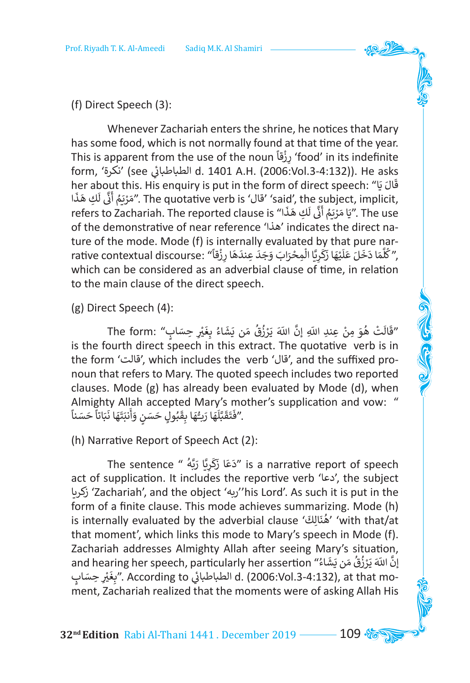(f) Direct Speech (3):

Whenever Zachariah enters the shrine, he notices that Mary has some food, which is not normally found at that time of the year. This is apparent from the use of the noun ً ْقا ِ ز ر' food' in its indefinite ي see' (نكرة' ,form �الطباطبا d. 1401 A.H. (2006:Vol.3-4:132)). He asks ئ her about this. His enquiry is put in the form of direct speech: "ا َ ي ال ق ֖֖֖֖֪֪֪֪֦֪֪֪֪֦֪֪֪֪֪֪֪֦֪֪֪֪֪֪֪֪֪֪֪֪֪֪֪֪֪֪֪֪֪֪֪֪֪֪֪֚֚֚֚֚֚֚֚֚֚֚֚֚֚֚֚֚֚֚֚֝֝֝֝֓֝֓֟֟֓֡֟֓֡֝֓ ֺ֚֝ ا ֦֧֦֧֦֧<u>֚֓</u> ֦֦֪֦֚֚֚֚֝֝֝֝֝֝֝֝֝֝֝֝֝֝֝֝֝֝**֟** َّ فَالْ الْمَالِينَ وَالْمَدَّ الْمَالِكَ لِلْهِ مَا الْمَارِّينَ وَالْمَدَّاتِينَ وَالْمَدَّاتِ مَنْ مَالَّة<br>مَرْيَمُ أَنَّى لَكِ هَذَ The quotative verb is 'فَالْ' said', the subject, implicit, ۔<br>آ ن َ ់<br>( َrefers to Zachariah. The reported clause is "السيم التي تعتد refers to Zachariah. The reported clause is "المح<br>The use "يَا مَرْيَمُ أَنَّى لَكِ هَذَا" s ֧֖֖֧֪֦֧֧֪֪֦֧֦֧֦֧֪֦֧֪֦֧֦֧֧֧֧֧֪֚֚֚֚֚֚֚֚֚֚֚֚֚֚֚֚֚֝֝֟֝֬֝֬֝֟֟֓֝֬֟֓֝֬֝֬֝֬֝֬֝֬֝֬֝֬֝֬֝֬֝֬֝֬֝֬ ًَ<br>أ ن .<br>أ ֖֖֖֪֪֦֪֚֚֚֚֚֚֚֚֘֟֓֟֓֟֓֟֓֟֓֟֓֟֓֟֓֟֓֟֓֟֓֟֓֟֓֝ َof the demonstrative of near reference 'هذا 'indicates the direct nature of the mode. Mode (f) is internally evaluated by that pure narrative contextual discourse: (رُقَّاً) the rive contextual discourse: (رُقَّةً)<br>مُّلَّمَا دَخَلَ عَلَيْهَا زَكَرِيًّا الْمِحْرَابَ وَجَدَ عِندَهَا رِزْقاً) . َ֖֖֧֖֖֧֪֦֧֧֧֪֪֦֧֧֧֦֧֧֚֚֚֚֚֚֚֚֚֚֚֚֚֚֚֝֝֝֓֝֓֝֓֝֟֓֟֓֟֓֝֟֓֝֬֝֟֟֓֝֬֝֓֝֬֝֬ َ َََْ֧֧֧֖֧֖֖֧֧֪֦֧֧֧֖֧֖ׅ֧֚֚֘֟֟֓֝֟֟֓֝֬֝֬֝֓֬֝֓֝֬֝֬֝֬֝֓֬֝֬֝֓֬֝֓֬֓֟֓֟֬֟֓֬֓֝֬֝֓֝֬֝֬֝֬֝֬֝֬֝֬֝֬֓֝֬֝֬֝֬֝֬֝֬֝֬֝֬ ે<br>દ َ َ֘<u>֓</u> َ َ ََََّ ∶<br>≀ which can be considered as an adverbial clause of time, in relation to the main clause of the direct speech.

(g) Direct Speech (4):

The form: "فَالَتْ هُوَ مِنْ عِندِ اللّهِ إنَّ اللّهَ يَرْزُقُ مَن يَشَاءُ بِغَيْرِ حِسَابٍ" َ ََ֘<u>֦</u> ֧֧֚֚֡֝֝֟֓<u>֓</u> ْ**∶** َُis the fourth direct speech in this extract. The quotative verb is in the form 'قالت', which includes the verb 'قال', and the suffixed pronoun that refers to Mary. The quoted speech includes two reported clauses. Mode (g) has already been evaluated by Mode (d), when Almighty Allah accepted Mary's mother's supplication and vow: " ֧֧֧֧֧֧֧֧֦֧֧֧֧֧֧֧֧֧֟֟֟֟֟֟֟֟֟֟֟֟֟֟֟֟֟֟֟֟֟֟֟֟֟֟֟֓֟֟֩֕֓֟֓֟֓֟֓֟֓֟֩֕֓֟֟֩֕֓֟֓֟֓֟֟֟֩֕֓֟֓֟֟֩֓֝֬֟֩֓֝֬֝֬֝ َAmngnty Anari accepted Iviary s mo<br>"فَتَقَبَّلَهَا رَبُّهَا بِقَبُولٍ حَسَنٍ وَأَنبَتَهَا نَبَاتاً حَسَناً. ََ ֖֪֚֚֚֚֚֚֚֚֚֚֝֝֝֝֝֝<br>֧֝֩֩֩֩ َ ֖֪֦֖֚֚֚֚֝֝֝֝֝֝֝֝֝֝֝֝֝֝֝֝֝֝֝<del>֟</del>֪֚ َ أ َ ََِّ َ ֖֪֪֪֪֚֚֚֚֚֚֚֚֚֚֚֚֚֚֚֚֚֚֚֚֚֚֚֚֚֡֝֝֝֝֟֝֝<del>֟</del> ًََُّ<br>آ َّ ์<br>: َ َ

(h) Narrative Report of Speech Act (2):

The sentence " ُ َّه ب َّا ر ِي ر ك ا ز ع د "is a narrative report of speech ِ<br>ا َ َ **ّ** َact of supplication. It includes the reportive verb 'دعا', the subject زكريا' Zachariah', and the object 'ربه''his Lord'. As such it is put in the form of a finite clause. This mode achieves summarizing. Mode (h) is internally evaluated by the adverbial clause ' ' ' ' ' مُنَالِك' ' with that/at ُ that moment', which links this mode to Mary's speech in Mode (f). Zachariah addresses Almighty Allah after seeing Mary's situation, ,and hearing her speech, particularly her assertion " يَازَّ اللَّهَ يَرْزُقُ مَن يَشَاءُ"<br>إِنَّ اللَّهَ يَرْزُقُ مَن يَشَاءُ" َ**ّ** ֦֧֦֧֦֧֦֧֦֧֦֧֦֧֦֧ َية السياسة العربية المستمرة المستمرة المستمرة المستمرة المستمرة المستمرة المستمرة المستمرة المستمرة المستمرة ا<br>-d. (2006:Vol.3-4:132), at that mo الطباطبائي According to . َ .<br>أ ment, Zachariah realized that the moments were of asking Allah His

**32nd Edition** Rabi Al-Thani 1441 . December 2019 109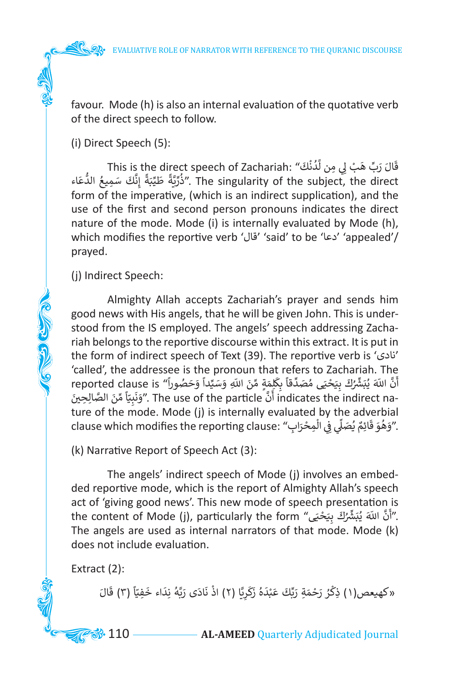favour. Mode (h) is also an internal evaluation of the quotative verb of the direct speech to follow.

(i) Direct Speech (5):

This is the direct speech of Zachariah: " َ ْك ن د َ ْب ِي ل ِ من ل ِّ ه ب َ ر ال ق و<br>ا ֧֦֧֦֧֢֝֝֜֜֜֜֜֜֜ ׇَ֦֚֝ ֺ<u>֓</u> َّ عَنْ رَبِّ هَبْ يِ سِ سَمْتَ ".This is the direct speech or Zacharian."<br>The singularity of the subject, the direct ."ذُرِّيَّةً طَيِّبَةً إِنَّكَ سَمِيعُ الدُّعَاء و<br>ا َ َ**∶** ُ form of the imperative, (which is an indirect supplication), and the use of the first and second person pronouns indicates the direct nature of the mode. Mode (i) is internally evaluated by Mode (h), which modifies the reportive verb 'قال' 'said' to be 'دعا' 'appealed'/ prayed.

(j) Indirect Speech:

**COLLEGED CLASS** 

Almighty Allah accepts Zachariah's prayer and sends him good news with His angels, that he will be given John. This is understood from the IS employed. The angels' speech addressing Zachariah belongs to the reportive discourse within this extract. It is put in the form of indirect speech of Text (39). The reportive verb is 'نادى ' 'called', the addressee is the pronoun that refers to Zachariah. The canca , the addressee is the pronoun that refers to zacharam. The<br>أَنَّ اللّهَ يُبَشِّرُكَ بِيَحْيَى مُصَدِّقاً بِكِلْمَةٍ مِّنَ اللّهِ وَسَيِّداً وَحَصُوراً" reported clause is<br>-indicates the indirect na "أَنَّ أَامَ الل ֺََُ<u>֓</u> َ֖֖֖֖֖֖֧֪֚֚֚֚֚֚֚֚֚֚֚֚֚֚֚֚֚֡֡֝֓֡֓֡֓֡֬֓֓֞֡֓֓֞֡֓֓֡֡֬֓֓֞֓֡֓֓֞֡֓֓֞֡֬֓֞֓֞֬֝֬ **ื** َ .<br>أ ֧֖֧֖֧֖֧֧֧֧֧֧֧֧֦֧֧֧֧֧֧֧֧֧֧֧֦֧֚֟֓֟֬֓֟֓֟֓֟֓֟֓֟֓֟֓֟֓֟֓֟֬֓֬֟֩֓֓֟֩֓֓֟֓֟֓֟֓֬֓֓֬֓֟֩֩֓֬֓֓֓֬֩֓֬֝֬ ِؚّ<br>ّ َُِّْ۔<br>' ֪֛֪֛֚֝֬֝֬֝֬֝֬֝֬֝֬֝֬֝֬֝֓֟֓֬֝֬֝֬֝֓֬֝֬֝֓֟֬֝֓֬֝֬ ن ان الله يبسرت بِيسي مصنعت بِمستَدِّ من اللهِ وسليها وحصوراً .<br>- indicates the indirect na أَنَّ indicates the indirect ma ."وَنَبِيّاً مِّنَ الصَّالِحِينَ ֖֝֝֝֝֝**֝** ِّّ َ ֖֪֪֦֪֪֦֧֧֧֚֚֚֚֚֚֞֝֝֝֝֬֝֬֝֬֝֓֝֬֝֬֝֬֝֬֝֓֟֟֓֟֟֓֟֓֡֟֓֟֓֡֟֓֬֓֝֓֝֬֝֬ َ ture of the mode. Mode (j) is internally evaluated by the adverbial clause which modifies the reporting clause: "اوَهُوَ قَائِمٌ يُصَلِّي فِي الْمِحْرَابِ". ْ֦֧֦֧֦֧֦֧֦֧֦֧֦֧֦֧֧֦֧֦֧֦֧֦ׅ֦֛֜֜֓֜֜֜֜֜֜֜֜֜֜֜֜ **ื ่** َا<br>المراجع ֦֧֦֖֖֚֚֚֝֝֝<u>֚</u>

(k) Narrative Report of Speech Act (3):

The angels' indirect speech of Mode (j) involves an embedded reportive mode, which is the report of Almighty Allah's speech act of 'giving good news'. This new mode of speech presentation is the content of Mode (j), particularly the form "يَاثَّ اللَّهَ يُبَشِّرُكَ بِيَحْيَى "<br>"أَنَّ اللّهَ يُبَشِّرُكَ بِيَحْيَى "the content of Mode (j), particularly the form ֦֧֦֧֦֧֦֧֦֧֦֧֦֧֦ ِّ۔<br>' َ The angels are used as internal narrators of that mode. Mode (k) does not include evaluation.

Extract (2):

**ृ** َ«كهيعص(١) ذِكْرُ رَحْمَةِ رَبِّكَ عَبْدَهُ زَكَرِيًّا (٢) اذْ نَادَى رَبَّهُ نِدَاء خَفِيّاً (٣) قَالَ ً֖֖֖֦֧ׅׅ֚֚֚֚֚֚֚֚֚֡֝֓֡֡֓֡֡֡֡֡֬֜֓֡֬֓֓֞֡֬֜֓֡֬ َ َِ<br>آ ֦֧֧֟֓<u>֓</u>֧֦֓ َ َ َ<u>ّ</u> ؚ<br>ا َ ֦֧֦֧֦֧֦֧֦֧֦֧֦֧֦֧ ؚ<br>ا ֧<u>֓</u>

**88.** 110 — **AL-AMEED** Quarterly Adjudicated Journal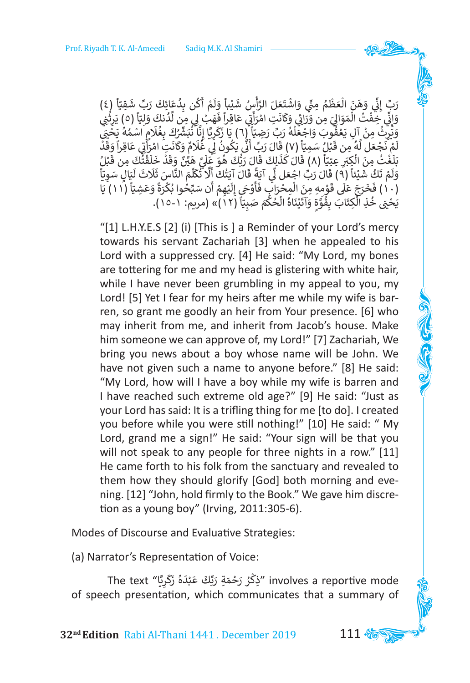ِّرَبِّ إِنِّي وَهَنَ الْعَظْمُ مِنِّي وَاشْتَعَلَ الرَّأْسُ شَيْباً وَلَمْ أَكُن بِدُعَائِكَ رَبِّ شَقِيّاً (٤)<br>مَعْلَمَ الْمَسْلَمُ الْمَسْلَمُ عَلَيْهِ مَسْتَعَلَ الرَّأْسُ شَيْباً وَلَمْ أَكُن بِدُعَائِكَ رَبِّ شَقِيّ ֧֦֧֦֧֦֧ׅ֧֦֧ׅ֧֦֧ׅ֧֦֧ׅ֧ׅ֧֡֡֓֓֓֓֜֓֓֜֓֓֜֓֓֜֓֜֓ َ ِ<br>ا **ृ** و<br>ا َ ً<br>أ َ َ֧֦֧֦֧֦֧֦֧֦֧֦֧֦֧֧֦֧ׅ֧֦֧֦֧֦֧֧֦֧ׅ֧֦֧֝֜֡֓֜֡֜֓֡֬֓֜֜֓֓ أ َّ َ֦֧֦֧֦֧֦֧֦֧֦֧֦֧ׅ֧֜֓֓<u>֚</u> َُ֦֧֧֦֧֦֧֦֧֦֧֦֟֟֓֕ َ֦֧֦֧֦֧֦֧֦֧֦֧ׅ֧֘֝֟֜֓<u>֦</u> ََِّ ن ِ<br>ا بِ <sub>إِي</sub> وَي الصَّنفُمُ بِي السَّنفُمُ الرَّسُ سَيْبِ وَلَمْ أَسْ بِمَعْنِ رَبِّ سَعِيَّ رَبِّ مَنْ الرَّبَّ و<br>لِّي خِفْتُ الْمَوَالِيَ مِن وَرَائِي وَكَانَتِ امْرَأَتِي عَاقِراً فَهَبْ لِي مِن لَّدُنكَ وَلِيَّا رَه) يَرِ ُ ֧֧֚֘֝֬֓<u>֓</u>֖֚֓ ֧֧֦֧֦֧֚֝<u>֓</u> ֖֖֖֚֚֚֚֚֚֝֝֝<u>֚</u> َُّ ֦֪֦֪֪֪֪֪֦֚֚֚֚֚֚֚֝֝֝֬֝֬֝֓֝֝֝**֟** َ ت َ أ ֖֪֪֚֚֚֚֚֚֚֚֚֚֚֚֚֚֚֝֝֝֝֝֟֓֝֝**֓** ֦֧֦֧֦֧֦֧֦֧ׅ֧֦֧֧֦֧֧֦֧֧ׅ֧֦֧֜֓֓֜֓֜֜֓֜֜֓֓<br>֧֧֧֜֜֜ َ َ .<br>أ َؚ<br>ا َ َ֦֧֦֧֦֧֦֧֦֧֦֧֦֧֦֧֦֧ׅ֦֧֦֧֦֧֦֧֦֧֦֧֦֧֦֧֦֧֦֧֦֧֦֧֦֧֦֧֦֧֦֧֧֧ׅ֧֧֧֦֧֧֧֛֪֪֧֪֧֪֧֪֧֧֧֧֧֪֧֧֧֧ׅ֚֟֜֓֓֞֟֓֜֓֞֬֜֬֞֓֞֬֜֬֓֜֓֬֜֬֜֬֜֬֜֬֜֬֜֜֜ ֦֧֦֧֦֧֦֧֦֧֦֧֦֧֦֓֓֡֓֓֟֓֡֓֓֡֟֓֡֓֓֞֓֡֡֟֓֓֡֟֓֡֟֓֡֟֓֡֟֓֡֟֓֡֬֓֓֞֓֓֞֬֓֓֞֓֬ ֧֖֖֖֖֖֖֖֖֖֖֖֧֚֚֚֚֚֚֚֚֚֚֝֟֓֓֝֓<u>֟</u> ن إ َ وَانِّي خِفْتُ المَوَالِيَ مِن وَرَائِي وَكَانَتِ امْرَأَتِي عَاقِراً فَهَبْ لِي مِن لدُنكَ وَلِتِّأَ (٥) يَرِثِي<br>وَيَرِثُ مِنْ آلِ يَعْقُوبَ وَاجْعَلْهُ رَبِّ رَضِيَّأَ (٦) يَا زَكَرِيَّا إِنَّا نُبَشِّرُكَ بِغُلَامٍ اسْ ْ ُ֦֧<u>֝</u> َ۔<br>وف ِّا<br>المناطق َ َ ֧֖֖֖֖֖֖֖֖֖֧֧֧֧֦֧֧֧֧֧ׅ֧֧֧֧֧֧֧֧֧֧֧֧֧֧֚֚֚֚֚֚֚֚֚֚֚֚֚֚֚֚֚֚֚֚֚֚֚֚֚֝֓֝֟֓֝֓֞֓֝֓֝֬֝֓֝֬֓֟֓֝֬֜֝֬֝֬֝֬֝֬֝֬֝֬֝֬֝֬֝֬֝֬֝֬֝֬֝<br>֧֛֧֧֖֧֧֧֖֧֖֧֧֛֧֧֪֧֧֖֧֧֧֧֛֧֧֧֛֛֪֧֛֪֧֛֪֪֧֛֪֧֛֪֧֛֚֚֚֚֜֝֝֬֝֝֬֝֬֜֝֬֝֬֝֬֜<del>֛</del><br>֧֛֧֛֛֛֛֛֛֜֜֜֜֜֜֜֜ ֧֪ׅ֧֧ׅ֧֚֚֚֚֚֚֚֚֚֚֚֚֚֚֚֚֚֚֚֡֡֡֡֡֬֝֬֓֝֬֓֓֝֬֜֓֓֞֬֓֝֬ ؚ<br>آ ِ<br>ا ֦֧֦֧֦֧֦֧֦֧֦֧֦֧֦֧֦֧֦֧֦֧֦֧֦֧֦֧֦֧֦֧֦֧֘֝֓֓֓֓֓֓֓֓֓֓֓ ََْ**Algebra** ֦֧֦֧֦֧<u>֓</u> ֦֧֦֧<u>֓</u> ُ֖֖֖֖֖֖֚֚֚֚֚֚֚֚֚֝֬֝֝֝֝֝֝֝֓֝֬֝֓**֓** ֺ֝ َ<u>ّ</u> ت َ أ ۔<br>; َْ َ ً<br>آ ُُم م ُ֦֧֦֦֧֦֦֪֦֪֪֧֧֧֪ׅ֧֧ׅ֧֧֪֧֪ׅ֧ׅ֧֪֪ׅ֦֧֚֚֚֚֚֚֚֚֚֚֚֚֚֚֚֝֝֬֝֬֝֓֝֝֝֬֝֓֓֝֬֜֓֝֬֜ َ ًََ ֧֖֪֪֪֪֪֪֪֪֪֪֪֪֪֚֚֚֚֚֚֚֚֚֚֚֚֚֚֚֚֚֚֚֚֝֝֓֡֡֓֓֞֡֡֝֬֓֞֝֬֝֓֞֝֬֓֓֞֬֝֓֓֞֡֝֬ ؚ<br>ا ֦֧֦֧֚֝֝֟֓֝֬֝֝֓֝֬֝֓֕֓֝֬֝֓֕֓֬֝֓֬֝֓֬֝֓֬֝֓֬֝֓֓ ُ َّ ֺ֖֖֦֚֚֚֚֚֚֚֝֝֬֝֓֝֬֝֓֝֬֝֝֬֝֝<del>֖</del> ֘<u>֝</u> ا<br>أ ما جَبَحْس • وَلِن عَبْلَ سَيِّدٍ (٧) حَنْ رَبِّكَ مَا يَحْرَى بِيَّا حَامَ الْعَجَدِ سَرْقِ حَامِرٌ رَحْدَ<br>بَلَغْتُ مِنَ الْكِبَرِ عِتِيَّاً (٨) قَالَ كَذَلِكَ قَالَ رَبُّكَ هُوَ عَلَيَّ هَيِّنٌ وَقَدْ خَلَقْتُكَ مِن قَب ֖֖֧֧֧֪ׅ֧֧֪ׅ֧ׅ֚֚֚֚֚֚֚֚֝֝֝֝֝֓֝֬֝֓֝֬֝֬֝֓֝֬֝֬֝֓֟֓֝֬֝֓֬֝֓֬֝֓֟֓֬֝֓֬֝֓֬֝֓֝֬֓֬֝֬֝֓֝֬֝֬֝֬֝֓֓֝֬֝֬֝֝֬֝֬֝֬ َ֦֧֦֦֧֦֧֦֧֦֖֧֦֧֦֧֧֖֧֧֪֦֧֧֦֧֧֧֧֧ׅ֧ׅ֧֧֛֪֧ׅ֛֪֚֚֚֚֝֝֝֝֝֬֝֝֝֬֝֓֝֬֝֓֝֬֝֓֝֓֝֬֝֓֝֬֜֓֬֜֓֓֝֓֬֜֝֬ َ َ ֚֓ ََ ي َ َ۔<br>وا َ ׇ֓֝ ֺ֖֪֪֪֪֪֦֚֚֚֚֚֚֚֚֚֚֚֚֚֚֚֚֚֚֚֚֝֝֝֝֝֝֝֝֝<del>֛</del> َ ֦֧֦֦֦֦֦֦֦֦֦֦֖֖֚֚֚֚֚֚֚֚֝֝֝֝֝֝֝֝֝֝֝֝ ً ֖֖֖֖֧֪֪֪֦֧֪֪ׅ֪֦֧֧ׅ֧ׅ֧֧֧֧֚֚֚֚֚֚֚֚֚֚֚֚֚֚֚֚֚֚֚֡֝֝֓֞֝֟֓֝֟֓֝֬֝֓֞֝֬֝֬֓֡֝֬֜֜֓֞֞֝֬֝֬֝֬֝֬ ֦֧֦֧֦֧֦֧֟֓֟֓֟֓֟֓֟֓֟֓֟֓֟֓֕֓֕֓֟֓֕֓֕֓֕֓֕֓֕֓ ُ֦֧֦֧֦֧֦֧֦֧֦֧֦֧֦֧֦֧֦֧֦֧֦֧ َ َ بتعت سِ النّذِرِ عِنِي (١٨) قَانَ تَدَبَّتَ قَانَ رَبّتَ هُوَ عَنِي هَيْنَ وَقَدْ خَنْفَتْتَ سِ قَبْلَ<br>وَلَمْ تَكُّ شَيْئاً (٩) قَالَ رَبِّ اجْعَل لِّي آيَةً قَالَ آيَتُكَ أَلَّا تَكَّلَّمَ النَّاسَ ثَلَاثَ لَيَالٍ سَوِيّ ّ ََ۔<br>آ َِّ َ ┆ ֺ֦֦֦֧֪֪ׅ֖֦֦֪֪֪ׅ֚֚֚֚֚֚֚֚֚֚֚֚֚֚֝֓֡֓֡֓֡֟֓֡֝֬֝֓֞֟֓֡֟֓֡֟֓֡֟֓֡֟֓֞֞֟֓֞֟֓֓֞֞֞֝֬֓֞֬֓֞֟֓֓ َ َِّ َََْ֪֪֖֧֧֧֧֦֧ׅ֧֦֧֦֧֦֧֧֧֦֧֦֧֦֧֧֘֝֟֝֟֟֟֟֟֟֟֟֟֟֟֟֟֟֟֟֟֟֟֟֟֟֟֟֟֟֟֟֟֟֟֟֩֕֟֟֓֟֓֟֓֟֓֟֓֟֓֟֓֜֓֟֓֝֬֝֬֝֬֝֬֝ ֺَ֖֚֚֚֚֚֚֚֚֚֚֚֚֚֚֚֚֚֚֚֚֚֚֚֚֚֚֚֚֚֚֚֚֓֡֟֓֡֓֞֡֓֞֓֡֟֓֡֟֓֡֓֞֓֞֓ ֚֚֚֚֚֚֚֝֝֝**֓** وَتُمْ نَكَ شَيْئًا (٦) قَانَ رَبِّ اجْعَلْ لِي أَيَّهُ قَالَ أَيْنَكَ أَلَّا نَكْلِمُ النَّاسِ نَلاثَ لَيَانٍ سَوِي<br>(١٠) فَخَرَجَ عَلَى قَوْمِهِ مِنَ الْمِحْرَابِ فَأَوْجَىٍ إِلَيْهِمْ أَن سَبِّحُوا بُكْرَةً وَعَشِيّاً ( ֧֧֧֧֧֖֖֖֖֖֖֖֧֧֦֧֧֧֧֧֧֧֧֧֧֧֧֧֧֚֚֚֚֚֚֚֚֚֚֚֚֝֟֓֝֟֟֓֝֬֟֓֟֓֝֬֟֓֝֬֝֓֝֬֝֓֝֬֓֝֓֝֬֝֓֝֬֓֝֬֓֝֬֝֬֝֬֝֬֝֓ ֖֚֚֚֚֚֚֡<br>֧֚֚֚֝ ।<br>। ֺ<u>֚֓</u> ֦֧֖֟֓֓֝֬֓֓֓֓**֓** ا<br>۽ َ֦֧֦֖֪֪֚֚֚֚֚֚֚֚֚֚֚֚֚֚֚֚֚֚֚֚֚֚֚֚֚֚֚֝֝֝֟֓֡֟֓֡֟֓֡֟֓֡֟֓֡֟֝֬֝ ً<br>أ ֺ֧֧֧֧֧֚֚֚֚֚֚֚֚֚֚֚֚֚֚֚֚֚֚֚֚֚֚֝֝֝֓֝֓֝֓֞֟֓֝֬֝ َ َ**ٔ** ֧֧֧֧֦֧֦֧֦֧֦֧֦֧֦֧֧֦֧֧֦֧֦֧֦֧֧֦֧֧֧֧֦֧֧֧֝֟֟֓֟֓֟֓֟֓֟֓֟֓֟֓֟֓֟֓֟֓֟֓֟֓֟֓֟֓֟֓֟֓֝֬֝֓֝֓֝֬֝֬֝֓֝֬֝֬֝֬֝֬֝֬֝֬ ֺ֚֝ ََ(١٠٠) كَحَنْ عَلَى كُونَدٍ مِنَ اسْتَحَرَّبٍ كَاوَحَيِّ إِنَّيْهِمْ الْمَسْبَحَوِّ بَعْرَه ۚ (<br>يَحْيَ خُذِ الْكِتَابَ بِقُوَّةٍ وَآتَيْنَاهُ الْحُكْمَ صَبِيّاً (١٢)» (مريم: ١-١٥). ֧֖֧֖֖֖֖֖֧֚֚֚֚֝֟֓֓֝֬֓֓<u>֓</u>֖֖֖֖֧֧֧֧֧֦֧֧֦֧֧֧֧֧֧ׅ֧֧ׅ֧֧֧֚֚֚֓֓֟֓֟֓֓֟֓֓֓֓֓֓֓֞֬֜֓֬ ֖֪֪ׅ֪ׅ֪֪ׅ֪֪ׅ֚֚֚֚֚֚֚֚֚֚֚֚֚֚֚֚֚֚֚֚֚֡֡֡֡֡֝֬֝֓֡֡֬֓֡֡֬֓֡֡֡֓֞֓֞֡֡֓ َْ ِ<br>وفات ֦֧֧֦֧֝֟֓<u>֚֓</u> َ َّ∫<br>∫ ֧֧֦֧֦֧֦֧֦֧֦֧֧֦֧֦֧֦֧֦֧֦֧֧֦֧֧֦֧֧֧֧֦֧֧֝֟֟֓֝֝֜֓֜֓֓֓֓֓֓֓֓֞֓<br>֧֧֖֧֧֧ׅ֧֧֧֧֧֦֧֪֦֧֧֦֧֚֜֜֘֩֩֩֩֩֩֓֓֘֜֓֘֟֓֬֜֟֓֜֬ ُ ֦֧֦֧<u>֓</u>

"[1] L.H.Y.E.S [2] (i) [This is ] a Reminder of your Lord's mercy towards his servant Zachariah [3] when he appealed to his Lord with a suppressed cry. [4] He said: "My Lord, my bones are tottering for me and my head is glistering with white hair, while I have never been grumbling in my appeal to you, my Lord! [5] Yet I fear for my heirs after me while my wife is barren, so grant me goodly an heir from Your presence. [6] who may inherit from me, and inherit from Jacob's house. Make him someone we can approve of, my Lord!" [7] Zachariah, We bring you news about a boy whose name will be John. We have not given such a name to anyone before." [8] He said: "My Lord, how will I have a boy while my wife is barren and I have reached such extreme old age?" [9] He said: "Just as your Lord has said: It is a trifling thing for me [to do]. I created you before while you were still nothing!" [10] He said: " My Lord, grand me a sign!" He said: "Your sign will be that you will not speak to any people for three nights in a row." [11] He came forth to his folk from the sanctuary and revealed to them how they should glorify [God] both morning and evening. [12] "John, hold firmly to the Book." We gave him discretion as a young boy" (Irving, 2011:305-6).

Modes of Discourse and Evaluative Strategies:

(a) Narrator's Representation of Voice:

involves a reportive mode "ذِكْرُ رَحْمَةِ رَبِّكَ عَبْدَهُ زَكَرِيًا" The text َّ َ َ َ**ّ** َ َ ֦֧֦֧֦֧֦֧֦֧֦֧֦֧֦ ֧<u>֓</u> of speech presentation, which communicates that a summary of

**32nd Edition** Rabi Al-Thani 1441 . December 2019 111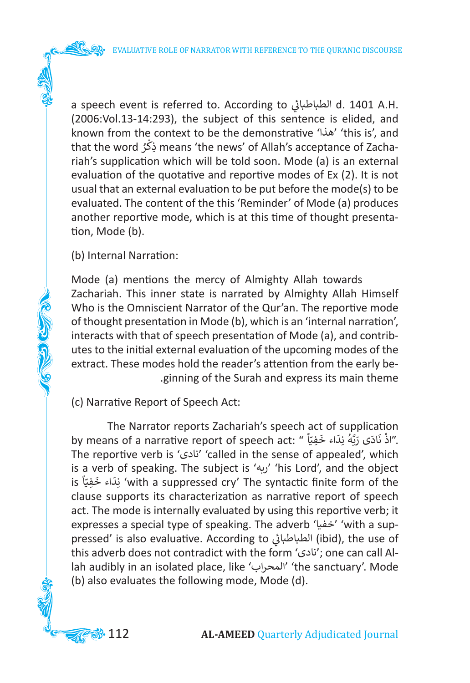a speech event is referred to. According to ي �الطباطبا d. 1401 A.H. ئ (2006:Vol.13-14:293), the subject of this sentence is elided, and known from the context to be the demonstrative 'هذا' 'this is', and that the word ُ ر ذكِ means 'the news' of Allah's acceptance of Zacha-֘**֝** riah's supplication which will be told soon. Mode (a) is an external evaluation of the quotative and reportive modes of Ex (2). It is not usual that an external evaluation to be put before the mode(s) to be evaluated. The content of the this 'Reminder' of Mode (a) produces another reportive mode, which is at this time of thought presentation, Mode (b).

(b) Internal Narration:

**COLORED CLASS** 

Mode (a) mentions the mercy of Almighty Allah towards Zachariah. This inner state is narrated by Almighty Allah Himself Who is the Omniscient Narrator of the Qur'an. The reportive mode of thought presentation in Mode (b), which is an 'internal narration', interacts with that of speech presentation of Mode (a), and contributes to the initial external evaluation of the upcoming modes of the extract. These modes hold the reader's attention from the early be- .ginning of the Surah and express its main theme

(c) Narrative Report of Speech Act:

The Narrator reports Zachariah's speech act of supplication nie Narrative report of speech act: " أَدْ نَادَى رَبَّهُ نِدَاء خَفِيّاً<br>"اذْ نَادَى رَبَّهُ نِدَاء خَفِيّاً " .by means of a narrative report of speech act ֖֖֖֖֦֧֦֧֦֧֦֧֦֧ׅ֪֧ׅ֧֪֧ׅ֧֧ׅ֧֚֚֚֚֚֚֚֚֚֚֚֡֡֓֡֡֜֓֓֞֟֓֡֡֓֓֞֡֡֡֬֓֞֡֡֡֬֜֓֓֞֞֬֜֓֞֬֜֓֞֬֝֬ َ َ֖֖֖֚֚֚֚֚֚֚֚֚֚֚֚֚֚֚֚֚֚֚֚֚֚֚֚֚֚֚֬֝֟֓֟֓֟֓֡֟֓֟֓֡֟֓֟֓֞֟֓֞֟֓֓֞֓֞֓֞֝ ا<br>ئ The reportive verb is 'نادى' 'called in the sense of appealed', which is a verb of speaking. The subject is 'ربه' 'his Lord', and the object الله العربي المستمر المستمر المستمر المستمر المستمر المستمر المستمر المستمر المستمر المستمر المستمر المستمر ا<br>نكاء خَفِيّاً sis Lord , and the boject "with a suppressed cry' The syntactic finite form of the ֧֧֦֧֦֧֦֧֚֝֝<u>֓</u> َ َclause supports its characterization as narrative report of speech act. The mode is internally evaluated by using this reportive verb; it expresses a special type of speaking. The adverb 'خفيا' 'with a suppressed' is also evaluative. According to الطباطبائي (ibid), the use of ئ this adverb does not contradict with the form 'نادى ;'one can call Allah audibly in an isolated place, like 'المحراب' 'the sanctuary'. Mode (b) also evaluates the following mode, Mode (d).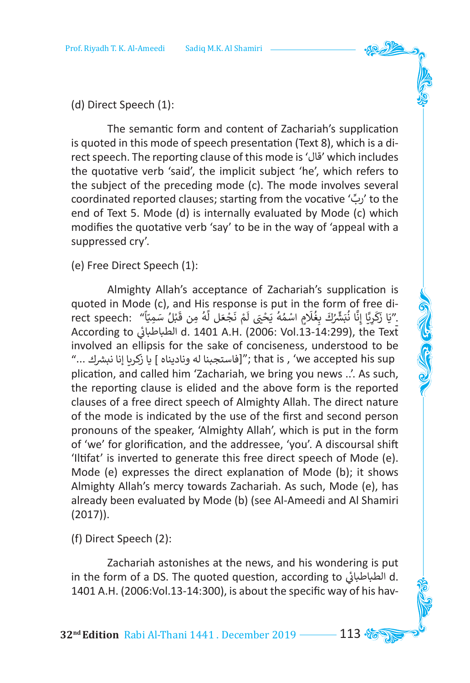#### (d) Direct Speech (1):

The semantic form and content of Zachariah's supplication is quoted in this mode of speech presentation (Text 8), which is a direct speech. The reporting clause of this mode is 'قال 'which includes the quotative verb 'said', the implicit subject 'he', which refers to the subject of the preceding mode (c). The mode involves several coordinated reported clauses; starting from the vocative ' ِّ رب 'to the end of Text 5. Mode (d) is internally evaluated by Mode (c) which modifies the quotative verb 'say' to be in the way of 'appeal with a suppressed cry'.

(e) Free Direct Speech (1):

Almighty Allah's acceptance of Zachariah's supplication is quoted in Mode (c), and His response is put in the form of free diquoted in Mode (c), and riis response is put in the form of free di-<br>''يَا زَكَرِيَّا إِنَّا نُبَشِّرُكَ بِغُلَامٍ اسْمُهُ يَحْيَ لَمْ نَجْعَل لَّهُ مِن قَبْلُ سَمِيّاً'' . rect speech ֧֧֦֧֚֝֝<u>֚</u> ֺ֖֖֖֖֖֖֖֖֖֪ׅ֚֚֚֚֚֚֚֚֚֚֚֚֚֚֝֝֝֝֝֝֝<u>֟</u> ֧֦֧֦֧֦֧֦֧֦֧֦֧֦֧֦֧֦֦֧֦֦֧֦֧֦֦֚֚֕֓֬֬֓֞֓֕֓֞֓֞֡ ا<br>با ا<br>آ َ֧֖֧֦֧֦֧֧֧֦֧֦֧֦֧֧֧֧֧֧֧֧֧֛֛֪֛֪֦֧֧֪ׅ֛֪֪֪֪֪֛֚֚֘֝֬֝֟֓֕֓֕֝֓֕֓֕֓֟֓֟֓֟֓֟֓֟֓֟֓֟֓֟֓֟֓֟֓֟֓֕֓֝֬֟֓֟֓֝֬֝֓֝֬֝֬֝֓֝֬֝֓֝֬֝֬֝֬֝֬֝֬֝֝֬֝֝ ۔<br>أ ֧֚֘<u>֓</u> ُ֚֡<u>֓</u> َُ**∶** ُ َ َ According to ي �الطباطبا d. 1401 A.H. (2006: Vol.13-14:299), the Text - ئ involved an ellipsis for the sake of conciseness, understood to be "s that is , 'we accepted his sup'"; فاستجبنا له وناديناه ] يا زكريا إنا نبشرك ..." plication, and called him 'Zachariah, we bring you news ..'. As such, the reporting clause is elided and the above form is the reported clauses of a free direct speech of Almighty Allah. The direct nature of the mode is indicated by the use of the first and second person pronouns of the speaker, 'Almighty Allah', which is put in the form of 'we' for glorification, and the addressee, 'you'. A discoursal shift 'Iltifat' is inverted to generate this free direct speech of Mode (e). Mode (e) expresses the direct explanation of Mode (b); it shows Almighty Allah's mercy towards Zachariah. As such, Mode (e), has already been evaluated by Mode (b) (see Al-Ameedi and Al Shamiri (2017)).

(f) Direct Speech (2):

Zachariah astonishes at the news, and his wondering is put in the form of a DS. The quoted question, according to الطباطبائي d. ֖֖֖֪֚֚֚֚֚֚֚֚֚֚֚֚֚֚֚֚֚֚֚֚֚֚֚֘֝֡֓֓֞֡֡֓֞֡֡֓֓֞֡֓֓֞֡֓֓֞֡֡֓֓֞֓֝֓֞֡֡֬ 1401 A.H. (2006:Vol.13-14:300), is about the specific way of his hav-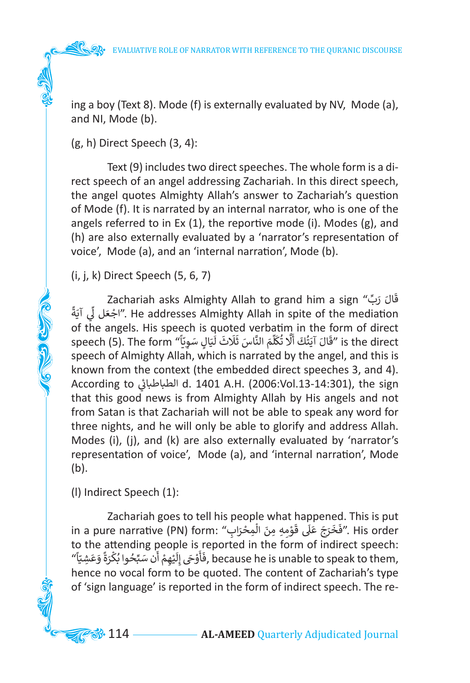ing a boy (Text 8). Mode (f) is externally evaluated by NV, Mode (a), and NI, Mode (b).

(g, h) Direct Speech (3, 4):

Text (9) includes two direct speeches. The whole form is a direct speech of an angel addressing Zachariah. In this direct speech, the angel quotes Almighty Allah's answer to Zachariah's question of Mode (f). It is narrated by an internal narrator, who is one of the angels referred to in Ex (1), the reportive mode (i). Modes (g), and (h) are also externally evaluated by a 'narrator's representation of voice', Mode (a), and an 'internal narration', Mode (b).

(i, j, k) Direct Speech (5, 6, 7)

**COLLEGED CLASS** 

قَالَ رَبِّ" Zachariah asks Almighty Allah to grand him a sign<br>معنا وزيرة العاملية المعلمة و عنا و عليه المعنا العاملية و العاملية المعلمة و العاملية المعلمة و المعلمة المعل ׇَ֦֚֝ الجُعَل لِّي آيَةً". He addresses Almighty Allah in spite of the mediation ِّ َ֦֦֖֖֖֪֪֪֪֦֪֪֪֪֪֦֚֚֚֚֡֟֓֝֝֟֟֓֟֓֟֓֟֓֟֓֟֓֟֓֝֝֟֝֟֝֟ of the angels. His speech is quoted verbatim in the form of direct or the angels. This speech is quoted verbathm in the form or unect<br>is the direct "قَالَ آيَتُكَ أَلَّا تُكَلِّمَ النَّاسَ ثَلَاثَ لَيَالٍ سَوِيّاً" is the direct ֧֧֧֧֧֧֧ׅ֧֪֧֚֝֝֬֝֬֜֜֓<u>֓</u> ֺ֖֖֖֖֖֖֪֪ׅ֚֚֚֚֚֚֚֚֚֚֚֚֚֚֝֝֝֝֝֝֝֝֝֝<u>֟</u> َا<br>أ ا<br>آ ِّ َ ا<br>پو َ َ ֦֧֦֦֦֧֚֚֚֚֚֚֚֚֚֚֚֚֚֬֕֕֝֬֝֓֕֝֬֓֕֓֕֓֕֓֕֓֕֓֕֓֕֓֕֓֡ speech of Almighty Allah, which is narrated by the angel, and this is known from the context (the embedded direct speeches 3, and 4). According to ي �الطباطبا d. 1401 A.H. (2006:Vol.13-14:301), the sign :<br>أ that this good news is from Almighty Allah by His angels and not from Satan is that Zachariah will not be able to speak any word for three nights, and he will only be able to glorify and address Allah. Modes (i), (j), and (k) are also externally evaluated by 'narrator's representation of voice', Mode (a), and 'internal narration', Mode (b).

(l) Indirect Speech (1):

Zachariah goes to tell his people what happened. This is put zacharian goes to ten his people what happened. This is put<br>in a pure narrative (PN) form: "فَخَرَجَ عَلَى قَوْمِهِ مِنَ الْمِحْرَابِ". His order ֚֚֘<br>֧֧֧֧֧ׅ֦֧֚֚֚֚֚֚֚֚֚֚֚֚֚֚֚֚֚֚֚֚֚֚֚֚֚֚֚֚֚֝֟֓֟֓֕֓֕֓֝֟֓֕֓֟֓֟֓֕֝֟֩ ֖ׅ֧ׅ֦֧֧֦֧ׅ֦֧ׅ֧ׅ֧ׅ֧ׅ֧ׅ֧ׅ֧ׅ֧ׅ֧֚֚֚֚֚֚֚֚֚֚֚֚֚֚֚֚֚֚֚֚֚֚֚֚֚֚֚֬֕֝֕֝֝֓֞֜֓֡֟֓֡֟֓֡֜֜֜֜֜֜ ا<br>; َto the attending people is reported in the form of indirect speech: to the attending people is reported in the form or indirect speecn:<br>(فَأَوْحَى إِلَيْهِمْ أَن سَبِّحُوا بُكْرَةً وَعَشِيّاً ), because he is unable to speak to them, ً ֦֧֦֧֦֧֦֧֦֧֦֧֦֧֦֧֦֧֦֧ׅ֧֝֜֓<u>֚֓</u> َ ֖֖֪֖֪֪ׅ֚֚֚֚֚֚֚֚֚֚֚֚֝֝֝֝֝֝֝֝**֓** ֦֧֧֟֓<u>֓</u> َُ֖֧֧֧֧֪ׅ֧֖֧֧֪ׅ֧֧֧֪ׅ֖֧֚֚֚֚֚֚֚֚֚֚֚֚֚֚֚֚֚֚֚֚֚֚֚֚֚֚֚֚֚֚֘֝֟֓֡֝֬֝֓֝֟֓֝֓֝֬֓֓֝֓֝֬֓֝֬֝֓֝֬֝ َ َ َ hence no vocal form to be quoted. The content of Zachariah's type of 'sign language' is reported in the form of indirect speech. The re-

**3**. 114 — **AL-AMEED** Quarterly Adjudicated Journal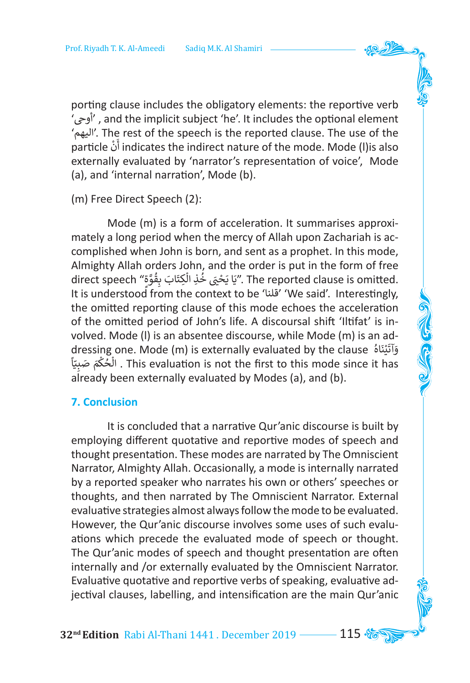porting clause includes the obligatory elements: the reportive verb 'أوىح ', and the implicit subject 'he'. It includes the optional element 'اليهم'. The rest of the speech is the reported clause. The use of the particle ْ ن أ indicates the indirect nature of the mode. Mode (l)is also َ externally evaluated by 'narrator's representation of voice', Mode (a), and 'internal narration', Mode (b).

(m) Free Direct Speech (2):

Mode (m) is a form of acceleration. It summarises approximately a long period when the mercy of Allah upon Zachariah is accomplished when John is born, and sent as a prophet. In this mode, Almighty Allah orders John, and the order is put in the form of free direct speech "وَيَا يَحْيَى خُذِ الْكِتَابَ بِقُوَّةِ". The reported clause is omitted. َّ់<br>ព្រះ ْ اد ماہور<br>وا ֦֧֦֦֧֦֧֦֧֦֧֦֧֦֪֪֦֝֝֟֓֟֓֟֓֟֓֟֓֟֓֟֓֟֓֟֓֟֓֟֓֟֓֟֓֓֓ It is understood from the context to be 'قلنا' 'We said'. Interestingly, the omitted reporting clause of this mode echoes the acceleration of the omitted period of John's life. A discoursal shift 'Iltifat' is involved. Mode (l) is an absentee discourse, while Mode (m) is an adorea: mode (i) is an assemed alsocalse, while mode (ii) is an advantaged by the clause<br>وَآتَيْنَاهُ This syntuation is not the first to this mode since it has ْ ่<br>: واميناه والسباب و بالمستعدد المستعدد المستعدد بن المستعدد .<br>This evaluation is not the first to this mode since it has . الْحُكْمَ صَبِيّاً ֧֧֦֧֧֦֧֚֚֝֝֝<u>֓</u> **่** ْ ا<br>و already been externally evaluated by Modes (a), and (b).

#### **7. Conclusion**

It is concluded that a narrative Qur'anic discourse is built by employing different quotative and reportive modes of speech and thought presentation. These modes are narrated by The Omniscient Narrator, Almighty Allah. Occasionally, a mode is internally narrated by a reported speaker who narrates his own or others' speeches or thoughts, and then narrated by The Omniscient Narrator. External evaluative strategies almost always follow the mode to be evaluated. However, the Qur'anic discourse involves some uses of such evaluations which precede the evaluated mode of speech or thought. The Qur'anic modes of speech and thought presentation are often internally and /or externally evaluated by the Omniscient Narrator. Evaluative quotative and reportive verbs of speaking, evaluative adjectival clauses, labelling, and intensification are the main Qur'anic

**32nd Edition** Rabi Al-Thani 1441 . December 2019 115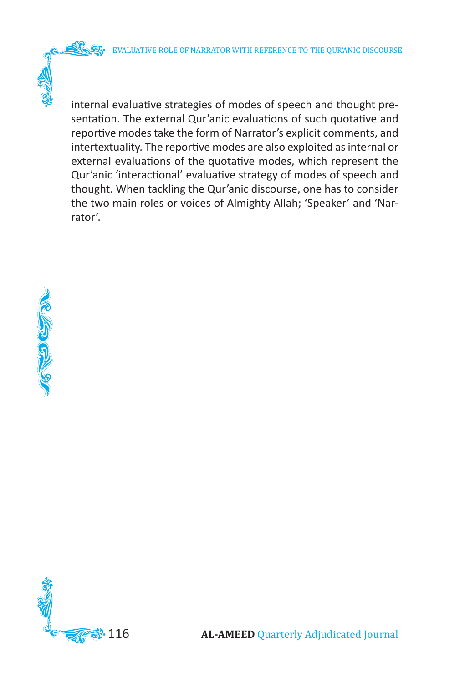**COLOGIA** 

internal evaluative strategies of modes of speech and thought presentation. The external Qur'anic evaluations of such quotative and reportive modes take the form of Narrator's explicit comments, and intertextuality. The reportive modes are also exploited as internal or external evaluations of the quotative modes, which represent the Qur'anic 'interactional' evaluative strategy of modes of speech and thought. When tackling the Qur'anic discourse, one has to consider the two main roles or voices of Almighty Allah; 'Speaker' and 'Narrator'.

**3.** 116 — **AL-AMEED** Quarterly Adjudicated Journal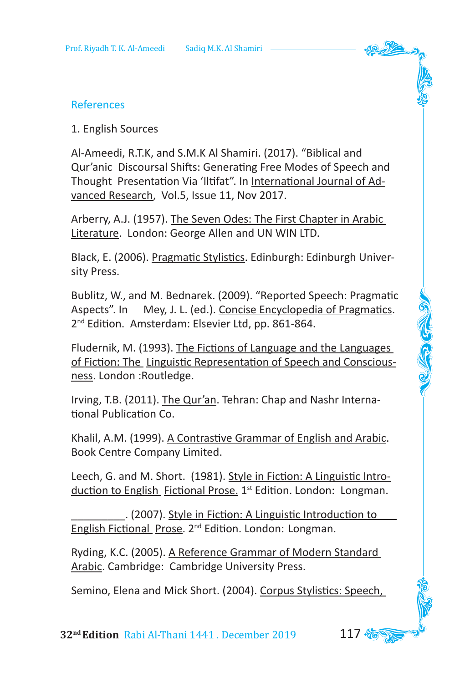#### References

1. English Sources

Al-Ameedi, R.T.K, and S.M.K Al Shamiri. (2017). "Biblical and Qur'anic Discoursal Shifts: Generating Free Modes of Speech and Thought Presentation Via 'Iltifat". In International Journal of Advanced Research, Vol.5, Issue 11, Nov 2017.

Arberry, A.J. (1957). The Seven Odes: The First Chapter in Arabic Literature. London: George Allen and UN WIN LTD.

Black, E. (2006). Pragmatic Stylistics. Edinburgh: Edinburgh University Press.

Bublitz, W., and M. Bednarek. (2009). "Reported Speech: Pragmatic Aspects". In Mey, J. L. (ed.). Concise Encyclopedia of Pragmatics. 2<sup>nd</sup> Edition. Amsterdam: Elsevier Ltd, pp. 861-864.

Fludernik, M. (1993). The Fictions of Language and the Languages of Fiction: The Linguistic Representation of Speech and Consciousness. London :Routledge.

Irving, T.B. (2011). The Qur'an. Tehran: Chap and Nashr International Publication Co.

Khalil, A.M. (1999). A Contrastive Grammar of English and Arabic. Book Centre Company Limited.

Leech, G. and M. Short. (1981). Style in Fiction: A Linguistic Introduction to English Fictional Prose. 1<sup>st</sup> Edition. London: Longman.

\_\_\_\_\_\_\_\_\_. (2007). Style in Fiction: A Linguistic Introduction to English Fictional Prose. 2nd Edition. London: Longman.

Ryding, K.C. (2005). A Reference Grammar of Modern Standard Arabic. Cambridge: Cambridge University Press.

Semino, Elena and Mick Short. (2004). Corpus Stylistics: Speech,

**32<sup>nd</sup> Edition** Rabi Al-Thani 1441 . December 2019 **117**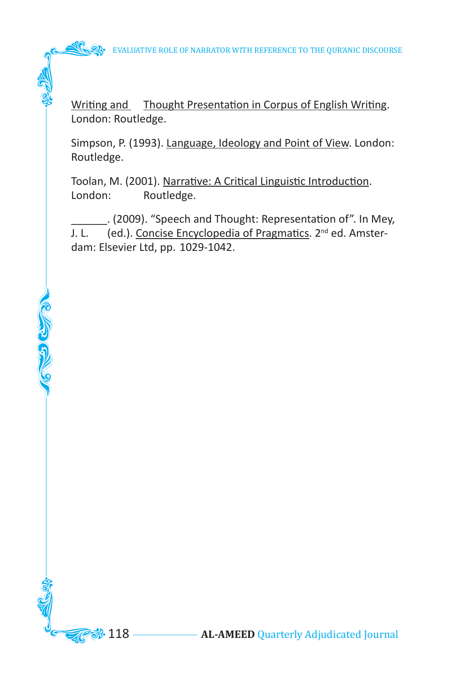Writing and Thought Presentation in Corpus of English Writing. London: Routledge.

Simpson, P. (1993). Language, Ideology and Point of View. London: Routledge.

Toolan, M. (2001). Narrative: A Critical Linguistic Introduction. London: Routledge.

**CERED CERTIFICATE** 

\_\_\_\_\_\_. (2009). "Speech and Thought: Representation of". In Mey, J. L. (ed.). Concise Encyclopedia of Pragmatics. 2<sup>nd</sup> ed. Amsterdam: Elsevier Ltd, pp. 1029-1042.

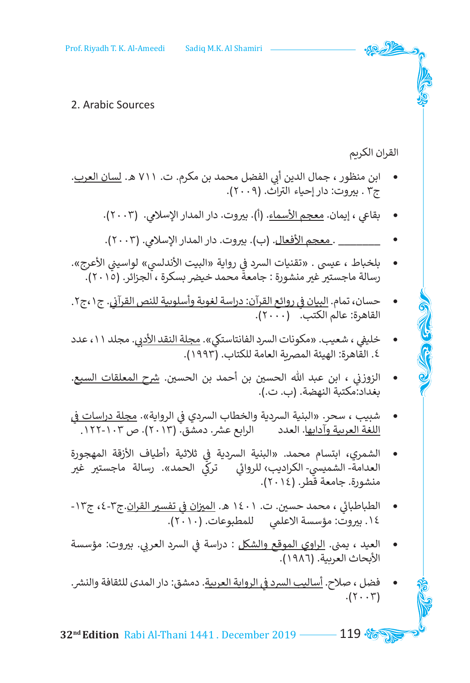#### 2. Arabic Sources

# القران الكريم

- ابن منظور ، جمال الدين أبي الفضل محمد بن مكرم. ت. ٧١١ هـ. <u>لسان العرب</u>.<br>ج٢ . بيروت: دار إحياء التراث. (٢٠٠٩).
	- بقاعي ، إيمان. معجم الأسماء. (أ). بيروت. دار المدار الإسلامي. (٢٠٠٢).
	- \_\_\_\_\_\_\_ . <u>معجم الأفعال</u>. (ب). بيروت. دار المدار الإسلامي. (٢٠٠٢).
- <sup>ي</sup> <sup>ي</sup> رواية »البيت األندلس <sup>ن</sup> « لواسي� <sup>ي</sup> األعرج«. ف بلخباط ، عيىس . »تقنيات الرسد � رسالة ماجستير غير منشورة : جامعة محمد خيضر بسكرة ، الجزائر. (٢٠١٥).
- ي . ج،1ج.2 ي روائع القرآن: دراسة لغوية وأسلوبية للنص القرآ� ف حسان، تمام. البيان � ن القاهرة: عالم الكتب. (٢٠٠٠).
- خليفي ، شعيب. «مكونات السرد الفانتاستكي». <u>مجلة النقد الأدبي</u>. مجلد ١١، عدد ٤. القاهرة: الهيئة المصرية العامة للكتاب. (١٩٩٢).
- الزوزني ، ابن عبد الله الحسين بن أحمد بن الحسين. <u>شرح المعلقات السب</u>ع. نن بغداد:مكتبة النهضة. )ب. ت.(.
- شبيب ، سحر. «البنية السردية والخطاب السردي في الرواية». <u>مجلة دراسات في</u><br>منذ تعتبد مستحدد اللغة العربية وآدابها. العدد الرابع عشر. دمشق. (٢٠١٣). ص ١٠٣-١٢٢. ـ
- ي ثالثية ›أطياف األزقة المهجورة ف الشمري، ابتسام محمد. »البنية الرسدية � العدامة- الشميسي- الكراديب، للروائي تركي الحمد». رسالة ماجستير غير<br>منشورة. جامعة قطر. (٢٠١٤). ئ
- الطباطبائي ، محمد حسين. ت. ١٤٠١ هـ. <u>الميزان في تفسير القران</u>.ج٣-٤، ج١٣-֖֖֖֪֪֪֚֚֚֚֚֚֚֚֚֚֚֚֚֘֝֓֝֓֝֓֡֡<u>֓</u> ١٤. بيروت: مؤسسة الاعلمي للمطبوعات. (٢٠١٠).
- ي بي الرسد العر� . ي ب�وت: مؤسسة ف العيد ، يم�. الراوي الموقع والشكل : دراسة � نالأبحاث العربية. (١٩٨٦).
- <sup>ي</sup> الرواية العربية. دمشق: دار المدى للثقافة والنش . ف فضل ، صالح. أساليب الرسد �  $.(\Upsilon \cdot \Upsilon)$

**32<sup>nd</sup> Edition** Rabi Al-Thani 1441 . December 2019 **119 %**